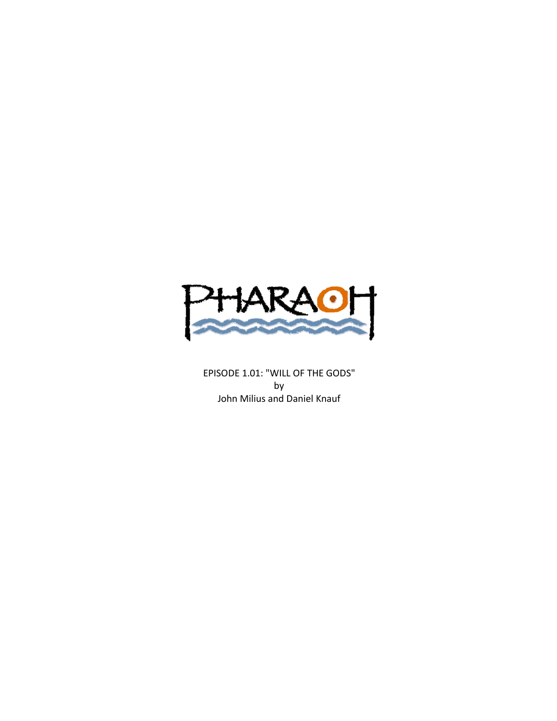

EPISODE 1.01: "WILL OF THE GODS" by John Milius and Daniel Knauf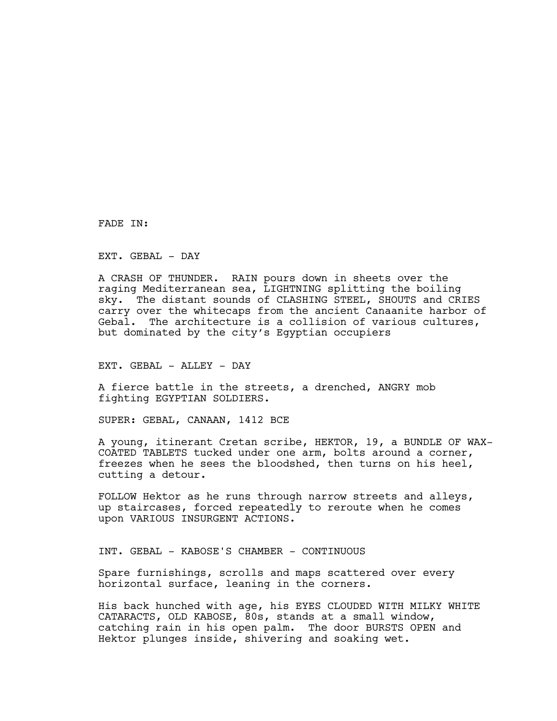FADE IN:

EXT. GEBAL - DAY

A CRASH OF THUNDER. RAIN pours down in sheets over the raging Mediterranean sea, LIGHTNING splitting the boiling sky. The distant sounds of CLASHING STEEL, SHOUTS and CRIES carry over the whitecaps from the ancient Canaanite harbor of Gebal. The architecture is a collision of various cultures, but dominated by the city's Egyptian occupiers

EXT. GEBAL - ALLEY - DAY

A fierce battle in the streets, a drenched, ANGRY mob fighting EGYPTIAN SOLDIERS.

SUPER: GEBAL, CANAAN, 1412 BCE

A young, itinerant Cretan scribe, HEKTOR, 19, a BUNDLE OF WAX-COATED TABLETS tucked under one arm, bolts around a corner, freezes when he sees the bloodshed, then turns on his heel, cutting a detour.

FOLLOW Hektor as he runs through narrow streets and alleys, up staircases, forced repeatedly to reroute when he comes upon VARIOUS INSURGENT ACTIONS.

INT. GEBAL - KABOSE'S CHAMBER - CONTINUOUS

Spare furnishings, scrolls and maps scattered over every horizontal surface, leaning in the corners.

His back hunched with age, his EYES CLOUDED WITH MILKY WHITE CATARACTS, OLD KABOSE, 80s, stands at a small window, catching rain in his open palm. The door BURSTS OPEN and Hektor plunges inside, shivering and soaking wet.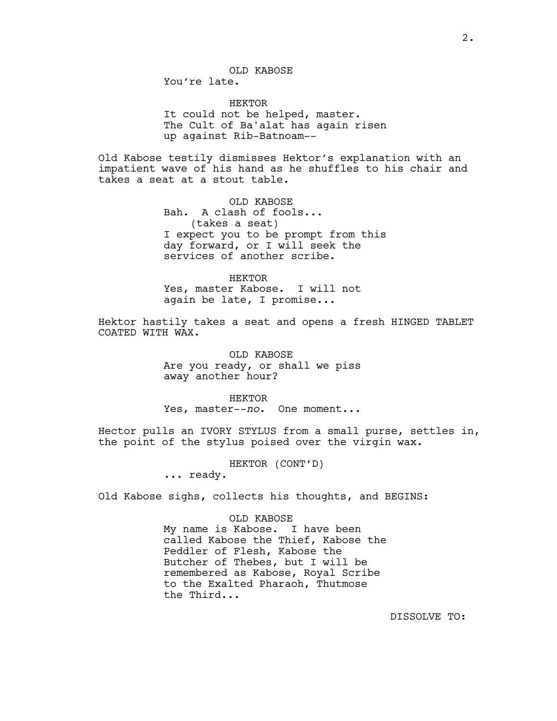HEKTOR It could not be helped, master. The Cult of Ba'alat has again risen up against Rib-Batnoam--

Old Kabose testily dismisses Hektor's explanation with an impatient wave of his hand as he shuffles to his chair and takes a seat at a stout table.

> OLD KABOSE Bah. A clash of fools... (takes a seat) I expect you to be prompt from this day forward, or I will seek the services of another scribe.

HEKTOR Yes, master Kabose. I will not again be late, I promise...

Hektor hastily takes a seat and opens a fresh HINGED TABLET COATED WITH WAX.

> OLD KABOSE Are you ready, or shall we piss away another hour?

> > HEKTOR

Yes, master--*no*. One moment...

Hector pulls an IVORY STYLUS from a small purse, settles in, the point of the stylus poised over the virgin wax.

HEKTOR (CONT'D)

... ready.

Old Kabose sighs, collects his thoughts, and BEGINS:

## OLD KABOSE

My name is Kabose. I have been called Kabose the Thief, Kabose the Peddler of Flesh, Kabose the Butcher of Thebes, but I will be remembered as Kabose, Royal Scribe to the Exalted Pharaoh, Thutmose the Third...

DISSOLVE TO: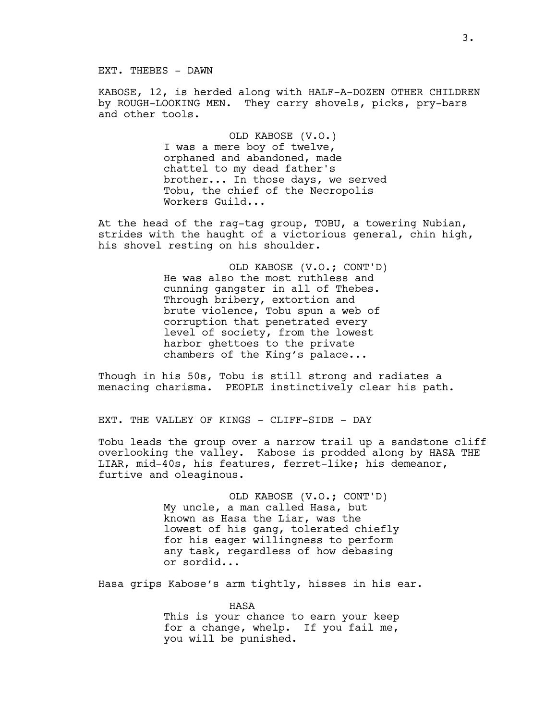EXT. THEBES - DAWN

KABOSE, 12, is herded along with HALF-A-DOZEN OTHER CHILDREN by ROUGH-LOOKING MEN. They carry shovels, picks, pry-bars and other tools.

> OLD KABOSE (V.O.) I was a mere boy of twelve, orphaned and abandoned, made chattel to my dead father's brother... In those days, we served Tobu, the chief of the Necropolis Workers Guild...

At the head of the rag-tag group, TOBU, a towering Nubian, strides with the haught of a victorious general, chin high, his shovel resting on his shoulder.

> OLD KABOSE (V.O.; CONT'D) He was also the most ruthless and cunning gangster in all of Thebes. Through bribery, extortion and brute violence, Tobu spun a web of corruption that penetrated every level of society, from the lowest harbor ghettoes to the private chambers of the King's palace...

Though in his 50s, Tobu is still strong and radiates a menacing charisma. PEOPLE instinctively clear his path.

EXT. THE VALLEY OF KINGS - CLIFF-SIDE - DAY

Tobu leads the group over a narrow trail up a sandstone cliff overlooking the valley. Kabose is prodded along by HASA THE LIAR, mid-40s, his features, ferret-like; his demeanor, furtive and oleaginous.

> OLD KABOSE (V.O.; CONT'D) My uncle, a man called Hasa, but known as Hasa the Liar, was the lowest of his gang, tolerated chiefly for his eager willingness to perform any task, regardless of how debasing or sordid...

Hasa grips Kabose's arm tightly, hisses in his ear.

HASA This is your chance to earn your keep for a change, whelp. If you fail me, you will be punished.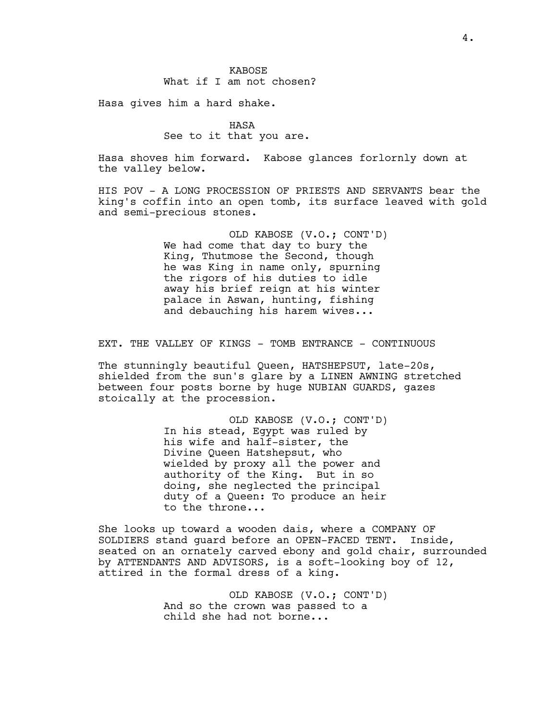Hasa gives him a hard shake.

HASA See to it that you are.

Hasa shoves him forward. Kabose glances forlornly down at the valley below.

HIS POV - A LONG PROCESSION OF PRIESTS AND SERVANTS bear the king's coffin into an open tomb, its surface leaved with gold and semi-precious stones.

> OLD KABOSE (V.O.; CONT'D) We had come that day to bury the King, Thutmose the Second, though he was King in name only, spurning the rigors of his duties to idle away his brief reign at his winter palace in Aswan, hunting, fishing and debauching his harem wives...

EXT. THE VALLEY OF KINGS - TOMB ENTRANCE - CONTINUOUS

The stunningly beautiful Queen, HATSHEPSUT, late-20s, shielded from the sun's glare by a LINEN AWNING stretched between four posts borne by huge NUBIAN GUARDS, gazes stoically at the procession.

> OLD KABOSE (V.O.; CONT'D) In his stead, Egypt was ruled by his wife and half-sister, the Divine Queen Hatshepsut, who wielded by proxy all the power and authority of the King. But in so doing, she neglected the principal duty of a Queen: To produce an heir to the throne...

She looks up toward a wooden dais, where a COMPANY OF SOLDIERS stand guard before an OPEN-FACED TENT. Inside, seated on an ornately carved ebony and gold chair, surrounded by ATTENDANTS AND ADVISORS, is a soft-looking boy of 12, attired in the formal dress of a king.

> OLD KABOSE (V.O.; CONT'D) And so the crown was passed to a child she had not borne...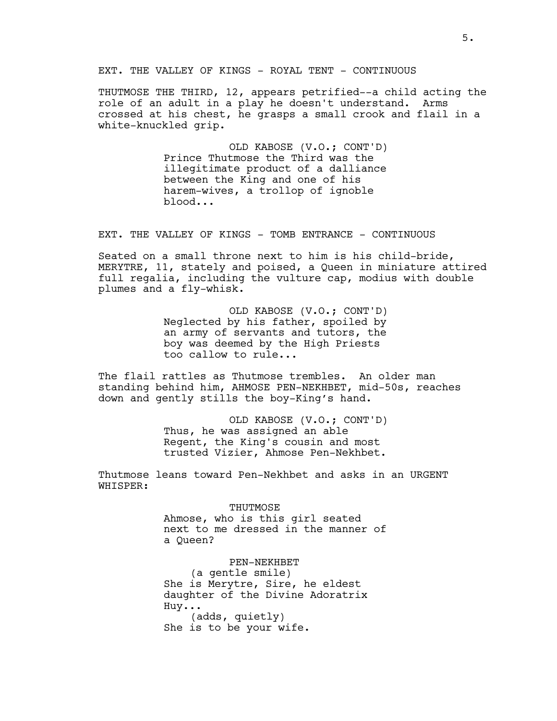EXT. THE VALLEY OF KINGS - ROYAL TENT - CONTINUOUS

THUTMOSE THE THIRD, 12, appears petrified--a child acting the role of an adult in a play he doesn't understand. Arms crossed at his chest, he grasps a small crook and flail in a white-knuckled grip.

> OLD KABOSE (V.O.; CONT'D) Prince Thutmose the Third was the illegitimate product of a dalliance between the King and one of his harem-wives, a trollop of ignoble blood...

EXT. THE VALLEY OF KINGS - TOMB ENTRANCE - CONTINUOUS

Seated on a small throne next to him is his child-bride, MERYTRE, 11, stately and poised, a Queen in miniature attired full regalia, including the vulture cap, modius with double plumes and a fly-whisk.

> OLD KABOSE (V.O.; CONT'D) Neglected by his father, spoiled by an army of servants and tutors, the boy was deemed by the High Priests too callow to rule...

The flail rattles as Thutmose trembles. An older man standing behind him, AHMOSE PEN-NEKHBET, mid-50s, reaches down and gently stills the boy-King's hand.

> OLD KABOSE (V.O.; CONT'D) Thus, he was assigned an able Regent, the King's cousin and most trusted Vizier, Ahmose Pen-Nekhbet.

Thutmose leans toward Pen-Nekhbet and asks in an URGENT WHISPER:

> THUTMOSE Ahmose, who is this girl seated next to me dressed in the manner of a Queen?

PEN-NEKHBET (a gentle smile) She is Merytre, Sire, he eldest daughter of the Divine Adoratrix Huy... (adds, quietly) She is to be your wife.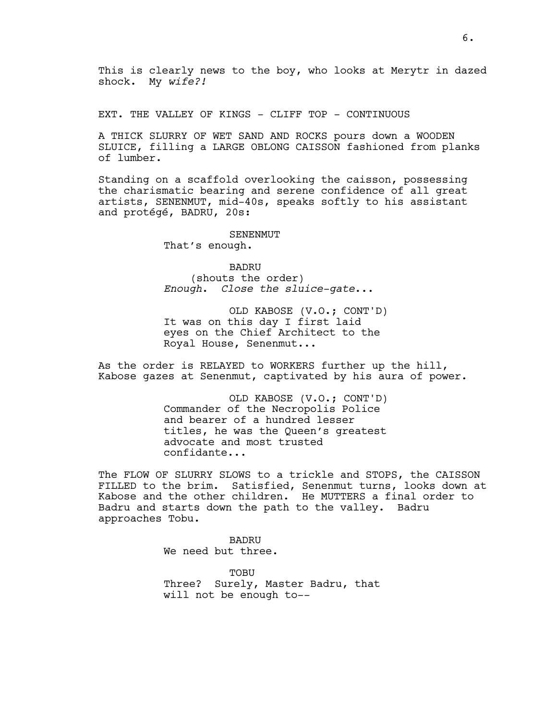This is clearly news to the boy, who looks at Merytr in dazed shock. My *wife?!*

EXT. THE VALLEY OF KINGS - CLIFF TOP - CONTINUOUS

A THICK SLURRY OF WET SAND AND ROCKS pours down a WOODEN SLUICE, filling a LARGE OBLONG CAISSON fashioned from planks of lumber.

Standing on a scaffold overlooking the caisson, possessing the charismatic bearing and serene confidence of all great artists, SENENMUT, mid-40s, speaks softly to his assistant and protégé, BADRU, 20s:

SENENMUT

That's enough.

BADRU (shouts the order) *Enough*. *Close the sluice-gate*...

OLD KABOSE (V.O.; CONT'D) It was on this day I first laid eyes on the Chief Architect to the Royal House, Senenmut...

As the order is RELAYED to WORKERS further up the hill, Kabose gazes at Senenmut, captivated by his aura of power.

> OLD KABOSE (V.O.; CONT'D) Commander of the Necropolis Police and bearer of a hundred lesser titles, he was the Queen's greatest advocate and most trusted confidante...

The FLOW OF SLURRY SLOWS to a trickle and STOPS, the CAISSON FILLED to the brim. Satisfied, Senenmut turns, looks down at Kabose and the other children. He MUTTERS a final order to Badru and starts down the path to the valley. Badru approaches Tobu.

> BADRU We need but three.

TOBU Three? Surely, Master Badru, that will not be enough to--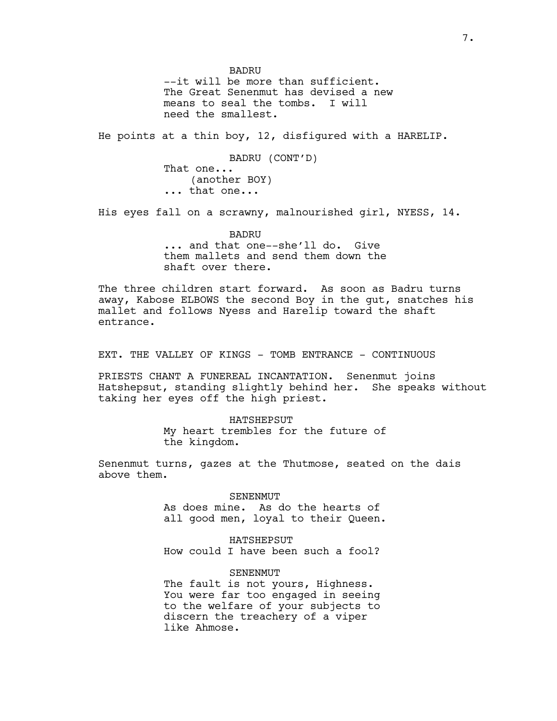BADRU --it will be more than sufficient. The Great Senenmut has devised a new means to seal the tombs. I will need the smallest.

He points at a thin boy, 12, disfigured with a HARELIP.

BADRU (CONT'D) That one... (another BOY) ... that one...

His eyes fall on a scrawny, malnourished girl, NYESS, 14.

BADRU ... and that one--she'll do. Give them mallets and send them down the shaft over there.

The three children start forward. As soon as Badru turns away, Kabose ELBOWS the second Boy in the gut, snatches his mallet and follows Nyess and Harelip toward the shaft entrance.

EXT. THE VALLEY OF KINGS - TOMB ENTRANCE - CONTINUOUS

PRIESTS CHANT A FUNEREAL INCANTATION. Senenmut joins Hatshepsut, standing slightly behind her. She speaks without taking her eyes off the high priest.

> HATSHEPSUT My heart trembles for the future of the kingdom.

Senenmut turns, gazes at the Thutmose, seated on the dais above them.

> SENENMUT As does mine. As do the hearts of all good men, loyal to their Queen.

HATSHEPSUT How could I have been such a fool?

**SENENMUT** 

The fault is not yours, Highness. You were far too engaged in seeing to the welfare of your subjects to discern the treachery of a viper like Ahmose.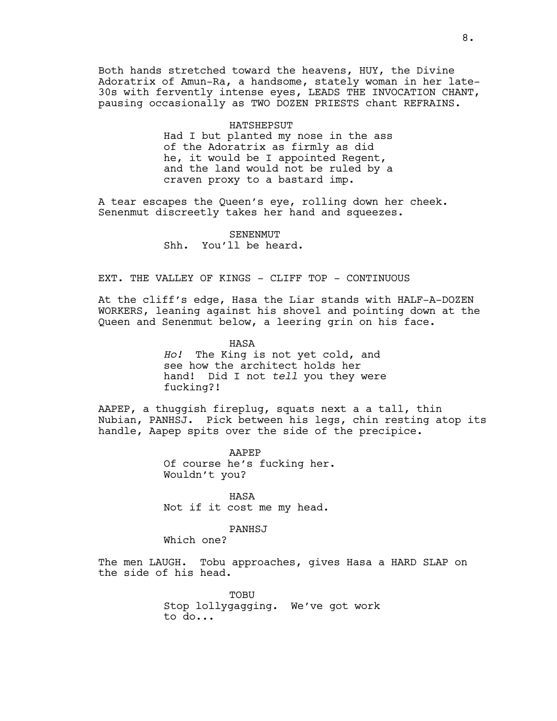Both hands stretched toward the heavens, HUY, the Divine Adoratrix of Amun-Ra, a handsome, stately woman in her late-30s with fervently intense eyes, LEADS THE INVOCATION CHANT, pausing occasionally as TWO DOZEN PRIESTS chant REFRAINS.

> HATSHEPSUT Had I but planted my nose in the ass of the Adoratrix as firmly as did he, it would be I appointed Regent, and the land would not be ruled by a craven proxy to a bastard imp.

A tear escapes the Queen's eye, rolling down her cheek. Senenmut discreetly takes her hand and squeezes.

> **SENENMUT** Shh. You'll be heard.

EXT. THE VALLEY OF KINGS - CLIFF TOP - CONTINUOUS

At the cliff's edge, Hasa the Liar stands with HALF-A-DOZEN WORKERS, leaning against his shovel and pointing down at the Queen and Senenmut below, a leering grin on his face.

> HASA *Ho!* The King is not yet cold, and see how the architect holds her hand! Did I not *tell* you they were fucking?!

AAPEP, a thuggish fireplug, squats next a a tall, thin Nubian, PANHSJ. Pick between his legs, chin resting atop its handle, Aapep spits over the side of the precipice.

> AAPEP Of course he's fucking her. Wouldn't you?

HASA Not if it cost me my head.

#### PANHSJ

Which one?

The men LAUGH. Tobu approaches, gives Hasa a HARD SLAP on the side of his head.

> TOBU Stop lollygagging. We've got work to do...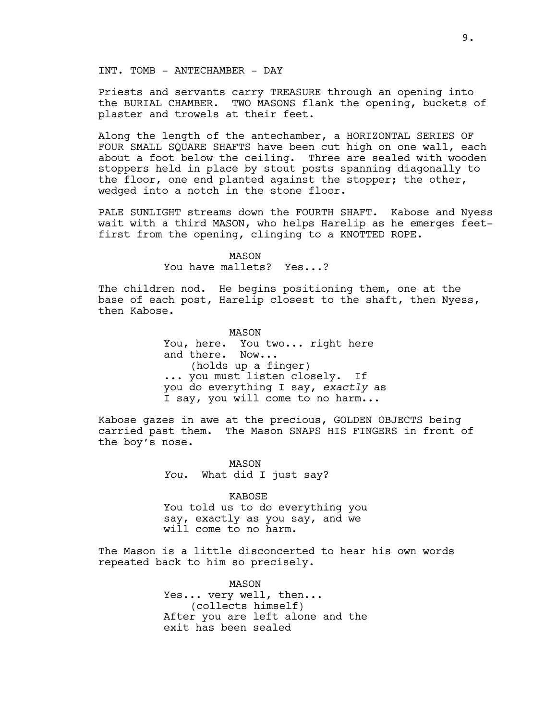INT. TOMB - ANTECHAMBER - DAY

Priests and servants carry TREASURE through an opening into the BURIAL CHAMBER. TWO MASONS flank the opening, buckets of plaster and trowels at their feet.

Along the length of the antechamber, a HORIZONTAL SERIES OF FOUR SMALL SQUARE SHAFTS have been cut high on one wall, each about a foot below the ceiling. Three are sealed with wooden stoppers held in place by stout posts spanning diagonally to the floor, one end planted against the stopper; the other, wedged into a notch in the stone floor.

PALE SUNLIGHT streams down the FOURTH SHAFT. Kabose and Nyess wait with a third MASON, who helps Harelip as he emerges feetfirst from the opening, clinging to a KNOTTED ROPE.

> MASON You have mallets? Yes...?

The children nod. He begins positioning them, one at the base of each post, Harelip closest to the shaft, then Nyess, then Kabose.

> MASON You, here. You two... right here and there. Now... (holds up a finger) ... you must listen closely. If you do everything I say, *exactly* as I say, you will come to no harm...

Kabose gazes in awe at the precious, GOLDEN OBJECTS being carried past them. The Mason SNAPS HIS FINGERS in front of the boy's nose.

> MASON *You*. What did I just say?

KABOSE You told us to do everything you say, exactly as you say, and we will come to no harm.

The Mason is a little disconcerted to hear his own words repeated back to him so precisely.

> MASON Yes... very well, then... (collects himself) After you are left alone and the exit has been sealed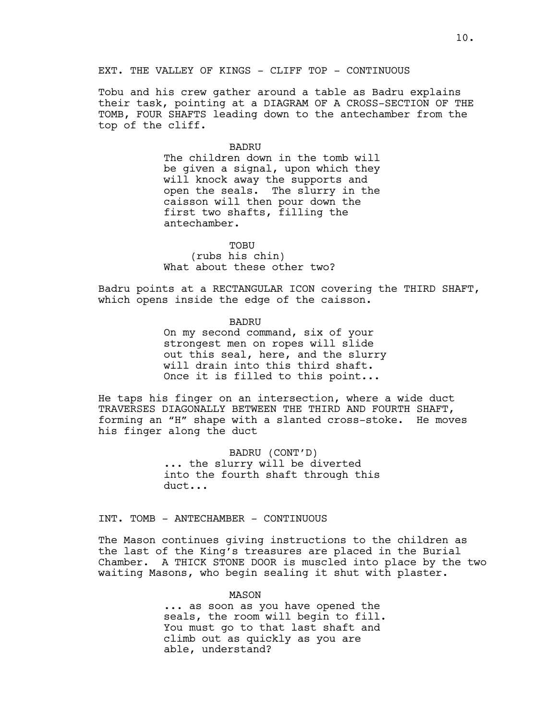Tobu and his crew gather around a table as Badru explains their task, pointing at a DIAGRAM OF A CROSS-SECTION OF THE TOMB, FOUR SHAFTS leading down to the antechamber from the top of the cliff.

#### BADRU

The children down in the tomb will be given a signal, upon which they will knock away the supports and open the seals. The slurry in the caisson will then pour down the first two shafts, filling the antechamber.

# TOBU

(rubs his chin) What about these other two?

Badru points at a RECTANGULAR ICON covering the THIRD SHAFT, which opens inside the edge of the caisson.

> BADRU On my second command, six of your strongest men on ropes will slide out this seal, here, and the slurry will drain into this third shaft. Once it is filled to this point...

He taps his finger on an intersection, where a wide duct TRAVERSES DIAGONALLY BETWEEN THE THIRD AND FOURTH SHAFT, forming an "H" shape with a slanted cross-stoke. He moves his finger along the duct

> BADRU (CONT'D) ... the slurry will be diverted into the fourth shaft through this duct...

INT. TOMB - ANTECHAMBER - CONTINUOUS

The Mason continues giving instructions to the children as the last of the King's treasures are placed in the Burial Chamber. A THICK STONE DOOR is muscled into place by the two waiting Masons, who begin sealing it shut with plaster.

> MASON ... as soon as you have opened the seals, the room will begin to fill. You must go to that last shaft and climb out as quickly as you are able, understand?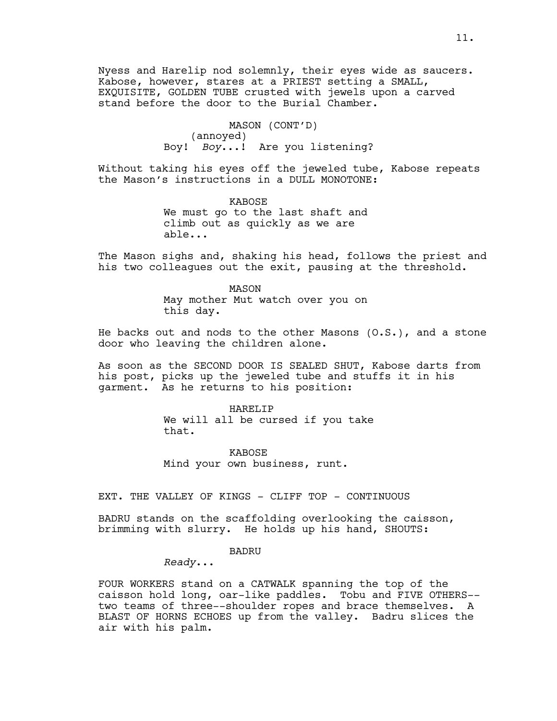Nyess and Harelip nod solemnly, their eyes wide as saucers. Kabose, however, stares at a PRIEST setting a SMALL, EXQUISITE, GOLDEN TUBE crusted with jewels upon a carved stand before the door to the Burial Chamber.

> MASON (CONT'D) (annoyed) Boy! *Boy*...! Are you listening?

Without taking his eyes off the jeweled tube, Kabose repeats the Mason's instructions in a DULL MONOTONE:

> KABOSE We must go to the last shaft and climb out as quickly as we are able...

The Mason sighs and, shaking his head, follows the priest and his two colleagues out the exit, pausing at the threshold.

> MASON May mother Mut watch over you on this day.

He backs out and nods to the other Masons (O.S.), and a stone door who leaving the children alone.

As soon as the SECOND DOOR IS SEALED SHUT, Kabose darts from his post, picks up the jeweled tube and stuffs it in his garment. As he returns to his position:

> HARELIP We will all be cursed if you take that.

KABOSE Mind your own business, runt.

EXT. THE VALLEY OF KINGS - CLIFF TOP - CONTINUOUS

BADRU stands on the scaffolding overlooking the caisson, brimming with slurry. He holds up his hand, SHOUTS:

# BADRU

*Ready*...

FOUR WORKERS stand on a CATWALK spanning the top of the caisson hold long, oar-like paddles. Tobu and FIVE OTHERS- two teams of three--shoulder ropes and brace themselves. A BLAST OF HORNS ECHOES up from the valley. Badru slices the air with his palm.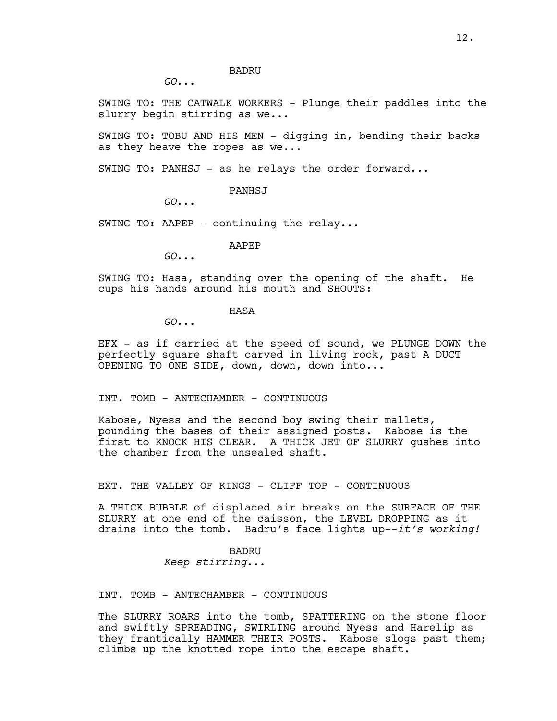### BADRU

*GO*...

SWING TO: THE CATWALK WORKERS - Plunge their paddles into the slurry begin stirring as we...

SWING TO: TOBU AND HIS MEN - digging in, bending their backs as they heave the ropes as we...

SWING TO: PANHSJ - as he relays the order forward...

PANHSJ

*GO*...

SWING TO: AAPEP - continuing the relay...

AAPEP

*GO*...

SWING TO: Hasa, standing over the opening of the shaft. He cups his hands around his mouth and SHOUTS:

HASA

*GO*...

EFX - as if carried at the speed of sound, we PLUNGE DOWN the perfectly square shaft carved in living rock, past A DUCT OPENING TO ONE SIDE, down, down, down into...

INT. TOMB - ANTECHAMBER - CONTINUOUS

Kabose, Nyess and the second boy swing their mallets, pounding the bases of their assigned posts. Kabose is the first to KNOCK HIS CLEAR. A THICK JET OF SLURRY gushes into the chamber from the unsealed shaft.

EXT. THE VALLEY OF KINGS - CLIFF TOP - CONTINUOUS

A THICK BUBBLE of displaced air breaks on the SURFACE OF THE SLURRY at one end of the caisson, the LEVEL DROPPING as it drains into the tomb. Badru's face lights up--*it's working!*

# BADRU

*Keep stirring*...

INT. TOMB - ANTECHAMBER - CONTINUOUS

The SLURRY ROARS into the tomb, SPATTERING on the stone floor and swiftly SPREADING, SWIRLING around Nyess and Harelip as they frantically HAMMER THEIR POSTS. Kabose slogs past them; climbs up the knotted rope into the escape shaft.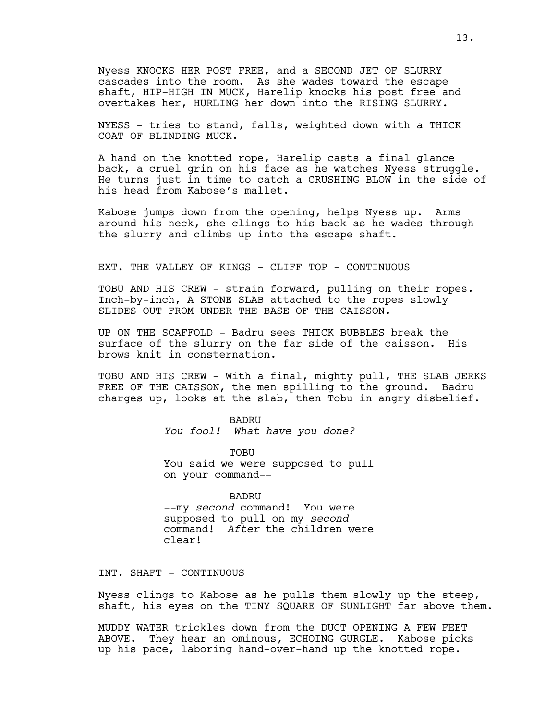Nyess KNOCKS HER POST FREE, and a SECOND JET OF SLURRY cascades into the room. As she wades toward the escape shaft, HIP-HIGH IN MUCK, Harelip knocks his post free and overtakes her, HURLING her down into the RISING SLURRY.

NYESS - tries to stand, falls, weighted down with a THICK COAT OF BLINDING MUCK.

A hand on the knotted rope, Harelip casts a final glance back, a cruel grin on his face as he watches Nyess struggle. He turns just in time to catch a CRUSHING BLOW in the side of his head from Kabose's mallet.

Kabose jumps down from the opening, helps Nyess up. Arms around his neck, she clings to his back as he wades through the slurry and climbs up into the escape shaft.

EXT. THE VALLEY OF KINGS - CLIFF TOP - CONTINUOUS

TOBU AND HIS CREW - strain forward, pulling on their ropes. Inch-by-inch, A STONE SLAB attached to the ropes slowly SLIDES OUT FROM UNDER THE BASE OF THE CAISSON.

UP ON THE SCAFFOLD - Badru sees THICK BUBBLES break the surface of the slurry on the far side of the caisson. His brows knit in consternation.

TOBU AND HIS CREW - With a final, mighty pull, THE SLAB JERKS FREE OF THE CAISSON, the men spilling to the ground. Badru charges up, looks at the slab, then Tobu in angry disbelief.

> BADRU *You fool! What have you done?*

TOBU You said we were supposed to pull on your command--

BADRU --my *second* command! You were supposed to pull on my *second* command! *After* the children were clear!

INT. SHAFT - CONTINUOUS

Nyess clings to Kabose as he pulls them slowly up the steep, shaft, his eyes on the TINY SQUARE OF SUNLIGHT far above them.

MUDDY WATER trickles down from the DUCT OPENING A FEW FEET ABOVE. They hear an ominous, ECHOING GURGLE. Kabose picks up his pace, laboring hand-over-hand up the knotted rope.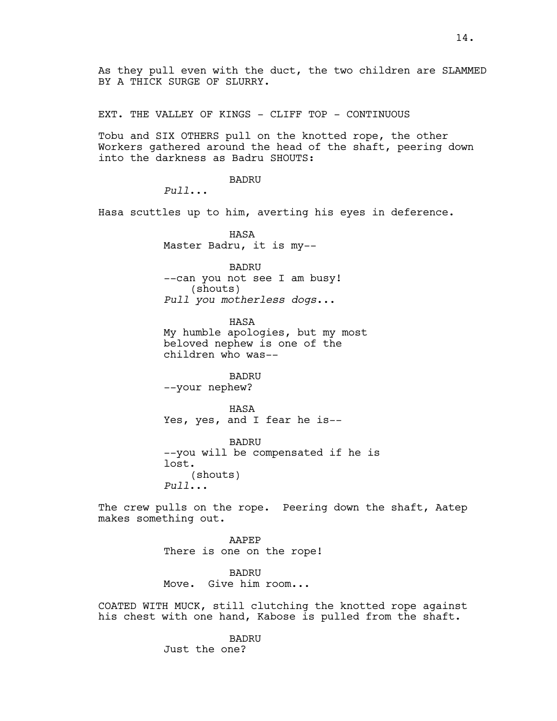EXT. THE VALLEY OF KINGS - CLIFF TOP - CONTINUOUS

Tobu and SIX OTHERS pull on the knotted rope, the other Workers gathered around the head of the shaft, peering down into the darkness as Badru SHOUTS:

BADRU

*Pull*...

Hasa scuttles up to him, averting his eyes in deference.

HASA Master Badru, it is my--

BADRU --can you not see I am busy! (shouts) *Pull you motherless dogs*...

HASA My humble apologies, but my most beloved nephew is one of the children who was--

BADRU --your nephew?

HASA Yes, yes, and I fear he is--

BADRU --you will be compensated if he is lost. (shouts) *Pull*...

The crew pulls on the rope. Peering down the shaft, Aatep makes something out.

> AAPEP There is one on the rope!

BADRU Move. Give him room...

COATED WITH MUCK, still clutching the knotted rope against his chest with one hand, Kabose is pulled from the shaft.

> BADRU Just the one?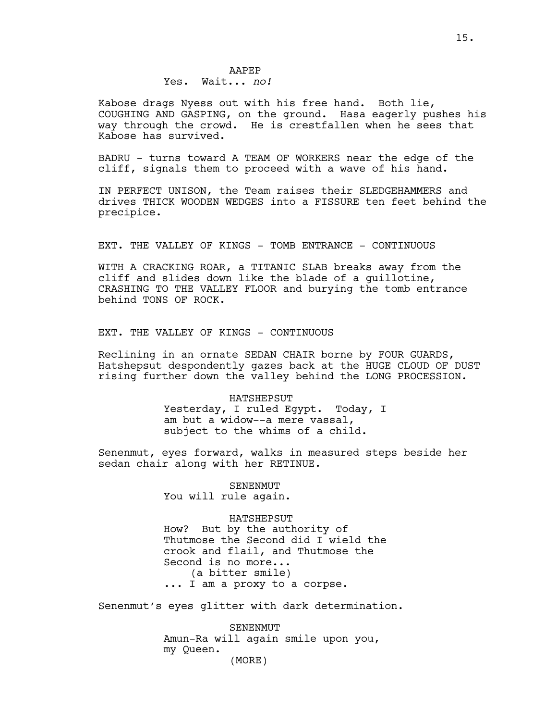# Yes. Wait... *no!*

Kabose drags Nyess out with his free hand. Both lie, COUGHING AND GASPING, on the ground. Hasa eagerly pushes his way through the crowd. He is crestfallen when he sees that Kabose has survived.

BADRU - turns toward A TEAM OF WORKERS near the edge of the cliff, signals them to proceed with a wave of his hand.

IN PERFECT UNISON, the Team raises their SLEDGEHAMMERS and drives THICK WOODEN WEDGES into a FISSURE ten feet behind the precipice.

EXT. THE VALLEY OF KINGS - TOMB ENTRANCE - CONTINUOUS

WITH A CRACKING ROAR, a TITANIC SLAB breaks away from the cliff and slides down like the blade of a guillotine, CRASHING TO THE VALLEY FLOOR and burying the tomb entrance behind TONS OF ROCK.

EXT. THE VALLEY OF KINGS - CONTINUOUS

Reclining in an ornate SEDAN CHAIR borne by FOUR GUARDS, Hatshepsut despondently gazes back at the HUGE CLOUD OF DUST rising further down the valley behind the LONG PROCESSION.

> HATSHEPSUT Yesterday, I ruled Egypt. Today, I am but a widow--a mere vassal, subject to the whims of a child.

Senenmut, eyes forward, walks in measured steps beside her sedan chair along with her RETINUE.

> SENENMUT You will rule again.

> > HATSHEPSUT

How? But by the authority of Thutmose the Second did I wield the crook and flail, and Thutmose the Second is no more... (a bitter smile) ... I am a proxy to a corpse.

Senenmut's eyes glitter with dark determination.

SENENMUT Amun-Ra will again smile upon you, my Queen. (MORE)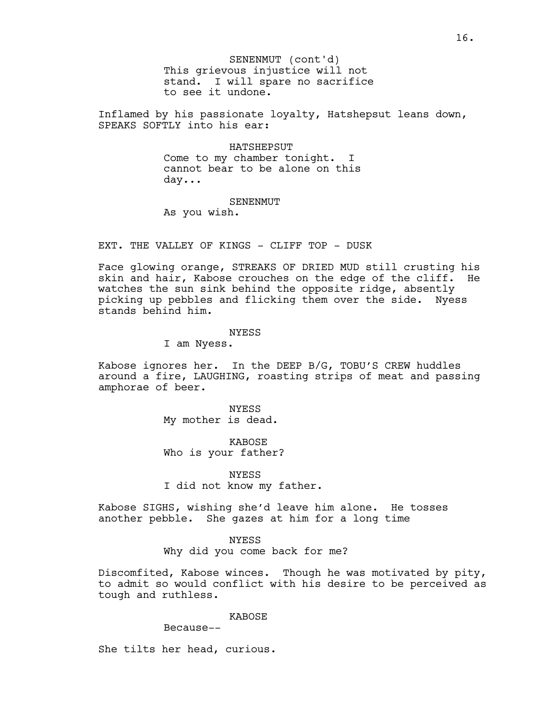This grievous injustice will not stand. I will spare no sacrifice to see it undone. SENENMUT (cont'd)

Inflamed by his passionate loyalty, Hatshepsut leans down, SPEAKS SOFTLY into his ear:

> HATSHEPSUT Come to my chamber tonight. I cannot bear to be alone on this day...

SENENMUT As you wish.

EXT. THE VALLEY OF KINGS - CLIFF TOP - DUSK

Face glowing orange, STREAKS OF DRIED MUD still crusting his skin and hair, Kabose crouches on the edge of the cliff. He watches the sun sink behind the opposite ridge, absently picking up pebbles and flicking them over the side. Nyess stands behind him.

### **NYESS**

I am Nyess.

Kabose ignores her. In the DEEP B/G, TOBU'S CREW huddles around a fire, LAUGHING, roasting strips of meat and passing amphorae of beer.

> **NYESS** My mother is dead.

KABOSE Who is your father?

NYESS I did not know my father.

Kabose SIGHS, wishing she'd leave him alone. He tosses another pebble. She gazes at him for a long time

## NYESS

Why did you come back for me?

Discomfited, Kabose winces. Though he was motivated by pity, to admit so would conflict with his desire to be perceived as tough and ruthless.

KABOSE

#### Because--

She tilts her head, curious.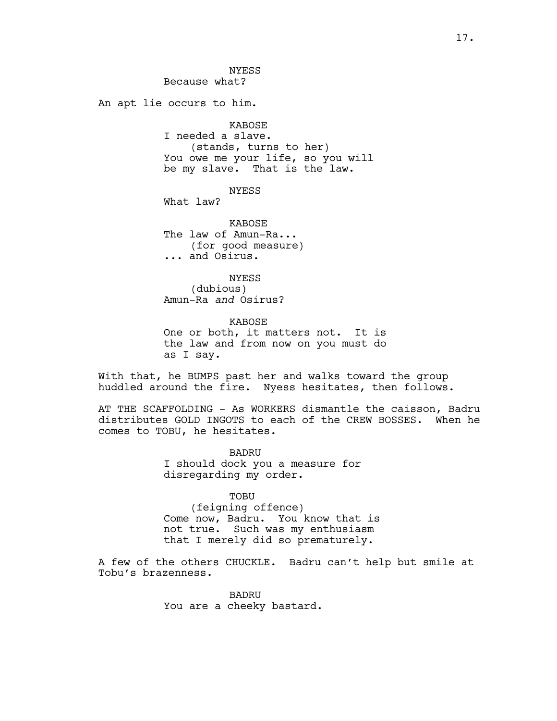**NYESS** Because what? An apt lie occurs to him. KABOSE I needed a slave. (stands, turns to her) You owe me your life, so you will be my slave. That is the law. NYESS What law? KABOSE The law of Amun-Ra... (for good measure) ... and Osirus. NYESS (dubious) Amun-Ra *and* Osirus? KABOSE One or both, it matters not. It is the law and from now on you must do as I say. With that, he BUMPS past her and walks toward the group huddled around the fire. Nyess hesitates, then follows.

AT THE SCAFFOLDING - As WORKERS dismantle the caisson, Badru distributes GOLD INGOTS to each of the CREW BOSSES. When he comes to TOBU, he hesitates.

> BADRU I should dock you a measure for disregarding my order.

TOBU (feigning offence) Come now, Badru. You know that is not true. Such was my enthusiasm that I merely did so prematurely.

A few of the others CHUCKLE. Badru can't help but smile at Tobu's brazenness.

> BADRU You are a cheeky bastard.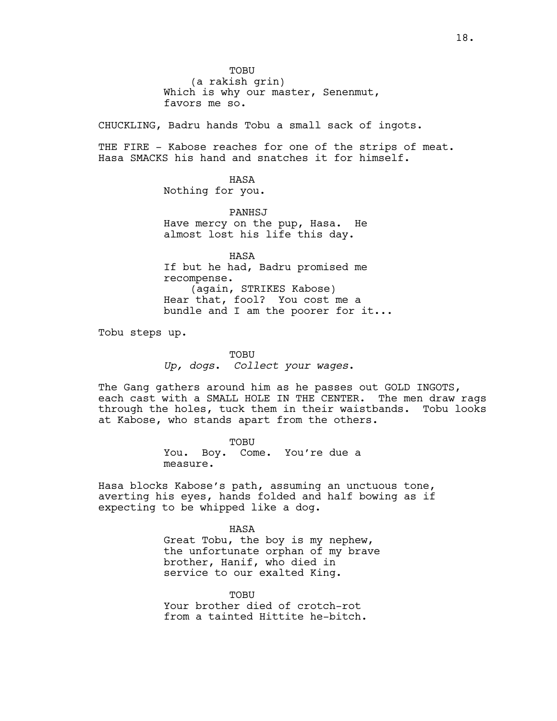TOBU (a rakish grin) Which is why our master, Senenmut, favors me so.

CHUCKLING, Badru hands Tobu a small sack of ingots.

THE FIRE - Kabose reaches for one of the strips of meat. Hasa SMACKS his hand and snatches it for himself.

> HASA Nothing for you.

PANHSJ Have mercy on the pup, Hasa. He almost lost his life this day.

HASA If but he had, Badru promised me recompense. (again, STRIKES Kabose) Hear that, fool? You cost me a bundle and I am the poorer for it...

Tobu steps up.

TOBU *Up, dogs*. *Collect your wages*.

The Gang gathers around him as he passes out GOLD INGOTS, each cast with a SMALL HOLE IN THE CENTER. The men draw rags through the holes, tuck them in their waistbands. Tobu looks at Kabose, who stands apart from the others.

> TOBU You. Boy. Come. You're due a measure.

Hasa blocks Kabose's path, assuming an unctuous tone, averting his eyes, hands folded and half bowing as if expecting to be whipped like a dog.

> HASA Great Tobu, the boy is my nephew, the unfortunate orphan of my brave brother, Hanif, who died in service to our exalted King.

TOBU Your brother died of crotch-rot from a tainted Hittite he-bitch.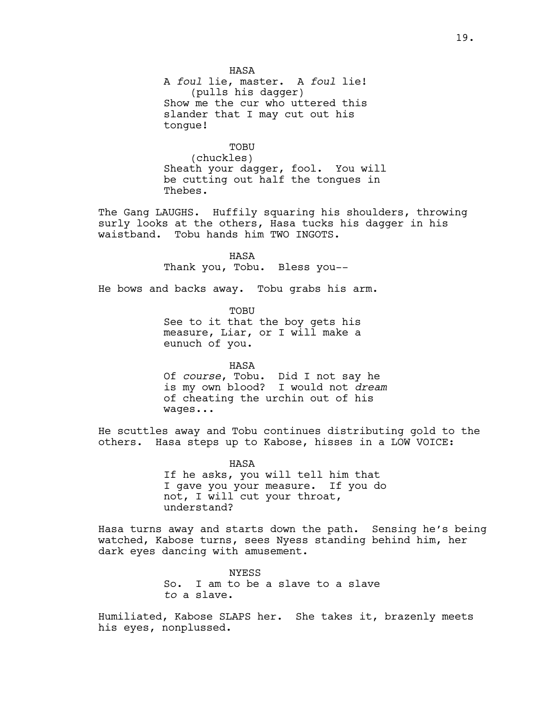A *foul* lie, master. A *foul* lie! (pulls his dagger) Show me the cur who uttered this slander that I may cut out his tongue! TOBU (chuckles) Sheath your dagger, fool. You will be cutting out half the tongues in Thebes. The Gang LAUGHS. Huffily squaring his shoulders, throwing surly looks at the others, Hasa tucks his dagger in his waistband. Tobu hands him TWO INGOTS. HASA Thank you, Tobu. Bless you-- He bows and backs away. Tobu grabs his arm. TOBU See to it that the boy gets his measure, Liar, or I will make a eunuch of you. HASA Of *course*, Tobu. Did I not say he is my own blood? I would not *dream* of cheating the urchin out of his wages... He scuttles away and Tobu continues distributing gold to the others. Hasa steps up to Kabose, hisses in a LOW VOICE: HASA If he asks, you will tell him that I gave you your measure. If you do not, I will cut your throat, understand? Hasa turns away and starts down the path. Sensing he's being watched, Kabose turns, sees Nyess standing behind him, her dark eyes dancing with amusement. **NYESS** So. I am to be a slave to a slave *to* a slave.

HASA

Humiliated, Kabose SLAPS her. She takes it, brazenly meets his eyes, nonplussed.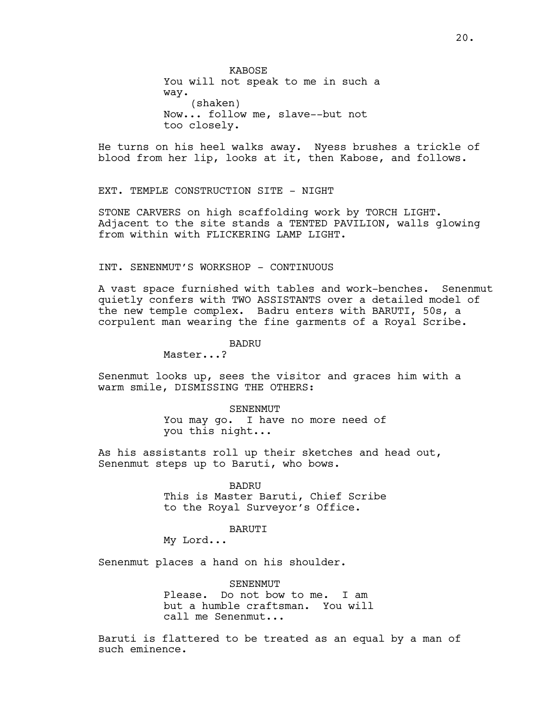**KABOSE** You will not speak to me in such a way. (shaken) Now... follow me, slave--but not too closely.

He turns on his heel walks away. Nyess brushes a trickle of blood from her lip, looks at it, then Kabose, and follows.

EXT. TEMPLE CONSTRUCTION SITE - NIGHT

STONE CARVERS on high scaffolding work by TORCH LIGHT. Adjacent to the site stands a TENTED PAVILION, walls glowing from within with FLICKERING LAMP LIGHT.

INT. SENENMUT'S WORKSHOP - CONTINUOUS

A vast space furnished with tables and work-benches. Senenmut quietly confers with TWO ASSISTANTS over a detailed model of the new temple complex. Badru enters with BARUTI, 50s, a corpulent man wearing the fine garments of a Royal Scribe.

BADRU

Master...?

Senenmut looks up, sees the visitor and graces him with a warm smile, DISMISSING THE OTHERS:

> **SENENMUT** You may go. I have no more need of you this night...

As his assistants roll up their sketches and head out, Senenmut steps up to Baruti, who bows.

> BADRU This is Master Baruti, Chief Scribe to the Royal Surveyor's Office.

> > BARUTI

My Lord...

Senenmut places a hand on his shoulder.

SENENMUT Please. Do not bow to me. I am but a humble craftsman. You will call me Senenmut...

Baruti is flattered to be treated as an equal by a man of such eminence.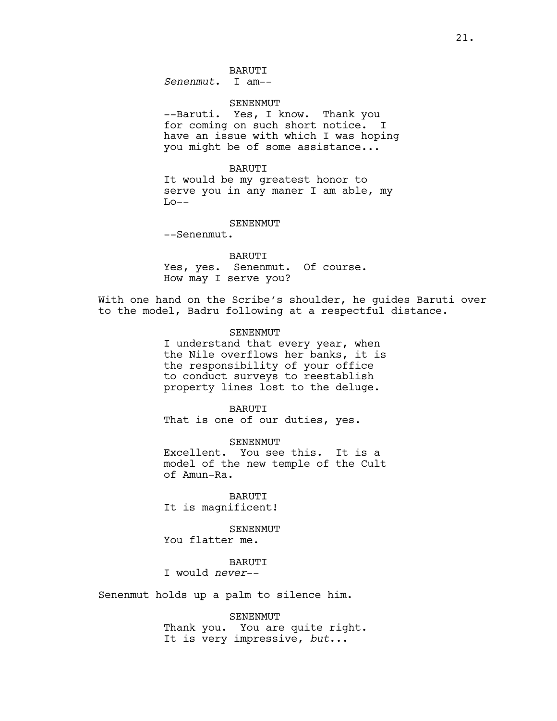**BARUTT** *Senenmut*. I am--

#### SENENMUT

--Baruti. Yes, I know. Thank you for coming on such short notice. I have an issue with which I was hoping you might be of some assistance...

### BARUTI

It would be my greatest honor to serve you in any maner I am able, my  $Lo--$ 

#### SENENMUT

--Senenmut.

BARUTI Yes, yes. Senenmut. Of course. How may I serve you?

With one hand on the Scribe's shoulder, he guides Baruti over to the model, Badru following at a respectful distance.

#### SENENMUT

I understand that every year, when the Nile overflows her banks, it is the responsibility of your office to conduct surveys to reestablish property lines lost to the deluge.

BARUTI That is one of our duties, yes.

SENENMUT Excellent. You see this. It is a model of the new temple of the Cult of Amun-Ra.

BARUTI It is magnificent!

SENENMUT

You flatter me.

## BARUTI

I would *never*--

Senenmut holds up a palm to silence him.

SENENMUT Thank you. You are quite right. It is very impressive, *but*...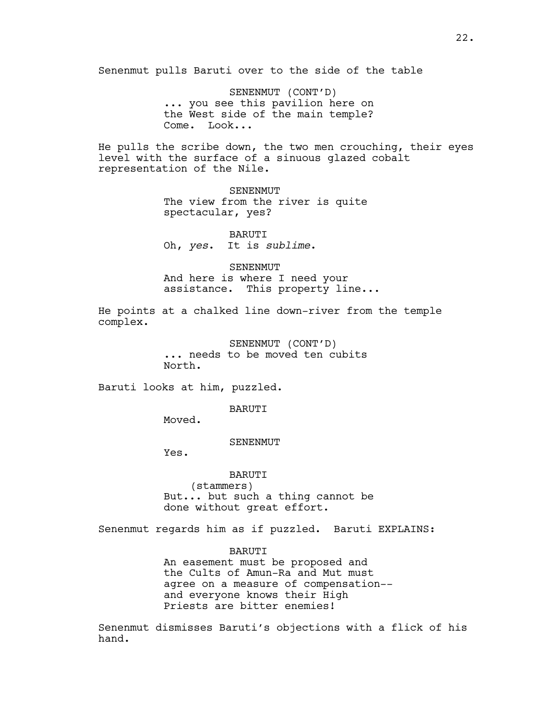Senenmut pulls Baruti over to the side of the table

SENENMUT (CONT'D) ... you see this pavilion here on the West side of the main temple? Come. Look...

He pulls the scribe down, the two men crouching, their eyes level with the surface of a sinuous glazed cobalt representation of the Nile.

> SENENMUT The view from the river is quite spectacular, yes?

**BARUTT** Oh, *yes*. It is *sublime*.

SENENMUT And here is where I need your assistance. This property line...

He points at a chalked line down-river from the temple complex.

> SENENMUT (CONT'D) ... needs to be moved ten cubits North.

Baruti looks at him, puzzled.

BARUTI

Moved.

SENENMUT

Yes.

BARUTI (stammers) But... but such a thing cannot be done without great effort.

Senenmut regards him as if puzzled. Baruti EXPLAINS:

# BARUTI

An easement must be proposed and the Cults of Amun-Ra and Mut must agree on a measure of compensation- and everyone knows their High Priests are bitter enemies!

Senenmut dismisses Baruti's objections with a flick of his hand.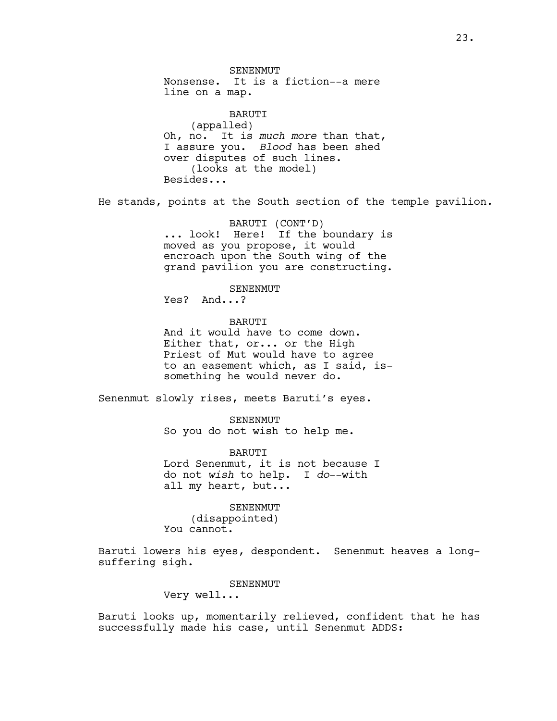**SENENMUT** Nonsense. It is a fiction--a mere line on a map. BARUTI (appalled) Oh, no. It is *much more* than that, I assure you. *Blood* has been shed over disputes of such lines. (looks at the model) Besides... He stands, points at the South section of the temple pavilion. BARUTI (CONT'D) ... look! Here! If the boundary is moved as you propose, it would encroach upon the South wing of the

grand pavilion you are constructing.

SENENMUT

Yes? And...?

BARUTI And it would have to come down. Either that, or... or the High Priest of Mut would have to agree to an easement which, as I said, issomething he would never do.

Senenmut slowly rises, meets Baruti's eyes.

SENENMUT So you do not wish to help me.

BARUTI Lord Senenmut, it is not because I do not *wish* to help. I *do*--with all my heart, but...

SENENMUT

(disappointed) You cannot.

Baruti lowers his eyes, despondent. Senenmut heaves a longsuffering sigh.

SENENMUT

Very well...

Baruti looks up, momentarily relieved, confident that he has successfully made his case, until Senenmut ADDS: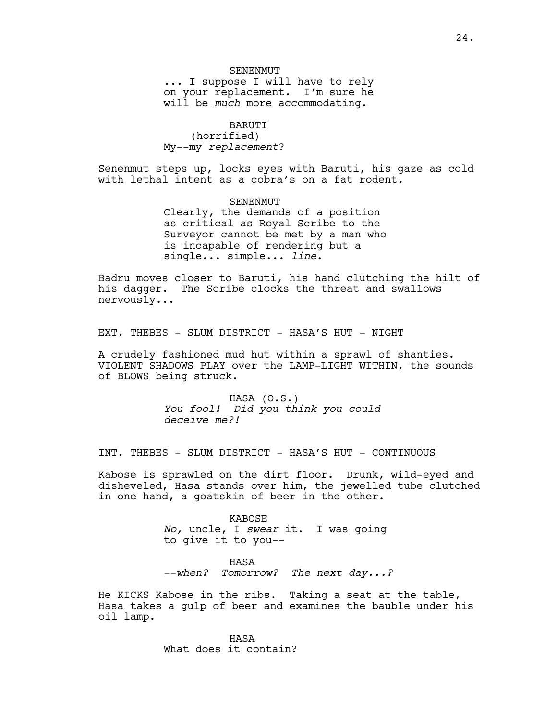SENENMUT ... I suppose I will have to rely on your replacement. I'm sure he will be *much* more accommodating.

BARUTI (horrified) My--my *replacement*?

Senenmut steps up, locks eyes with Baruti, his gaze as cold with lethal intent as a cobra's on a fat rodent.

> SENENMUT Clearly, the demands of a position as critical as Royal Scribe to the Surveyor cannot be met by a man who is incapable of rendering but a single... simple... *line*.

Badru moves closer to Baruti, his hand clutching the hilt of his dagger. The Scribe clocks the threat and swallows nervously...

EXT. THEBES - SLUM DISTRICT - HASA'S HUT - NIGHT

A crudely fashioned mud hut within a sprawl of shanties. VIOLENT SHADOWS PLAY over the LAMP-LIGHT WITHIN, the sounds of BLOWS being struck.

> HASA (O.S.) *You fool! Did you think you could deceive me?!*

INT. THEBES - SLUM DISTRICT - HASA'S HUT - CONTINUOUS

Kabose is sprawled on the dirt floor. Drunk, wild-eyed and disheveled, Hasa stands over him, the jewelled tube clutched in one hand, a goatskin of beer in the other.

> KABOSE *No,* uncle, I *swear* it. I was going to give it to you--

HASA --*when? Tomorrow? The next day...?*

He KICKS Kabose in the ribs. Taking a seat at the table, Hasa takes a gulp of beer and examines the bauble under his oil lamp.

> HASA What does it contain?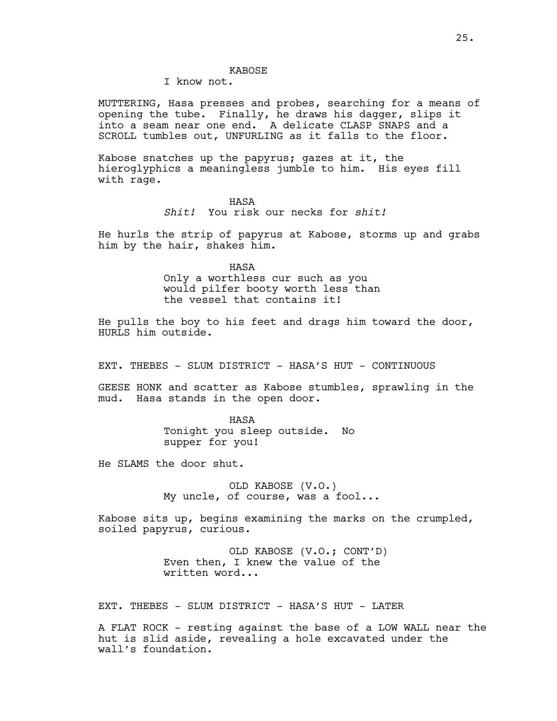## **KABOSE**

I know not.

MUTTERING, Hasa presses and probes, searching for a means of opening the tube. Finally, he draws his dagger, slips it into a seam near one end. A delicate CLASP SNAPS and a SCROLL tumbles out, UNFURLING as it falls to the floor.

Kabose snatches up the papyrus; gazes at it, the hieroglyphics a meaningless jumble to him. His eyes fill with rage.

> HASA *Shit!* You risk our necks for *shit!*

He hurls the strip of papyrus at Kabose, storms up and grabs him by the hair, shakes him.

HASA

Only a worthless cur such as you would pilfer booty worth less than the vessel that contains it!

He pulls the boy to his feet and drags him toward the door, HURLS him outside.

EXT. THEBES - SLUM DISTRICT - HASA'S HUT - CONTINUOUS

GEESE HONK and scatter as Kabose stumbles, sprawling in the mud. Hasa stands in the open door.

> HASA Tonight you sleep outside. No supper for you!

He SLAMS the door shut.

OLD KABOSE (V.O.) My uncle, of course, was a fool...

Kabose sits up, begins examining the marks on the crumpled, soiled papyrus, curious.

> OLD KABOSE (V.O.; CONT'D) Even then, I knew the value of the written word...

EXT. THEBES - SLUM DISTRICT - HASA'S HUT - LATER

A FLAT ROCK - resting against the base of a LOW WALL near the hut is slid aside, revealing a hole excavated under the wall's foundation.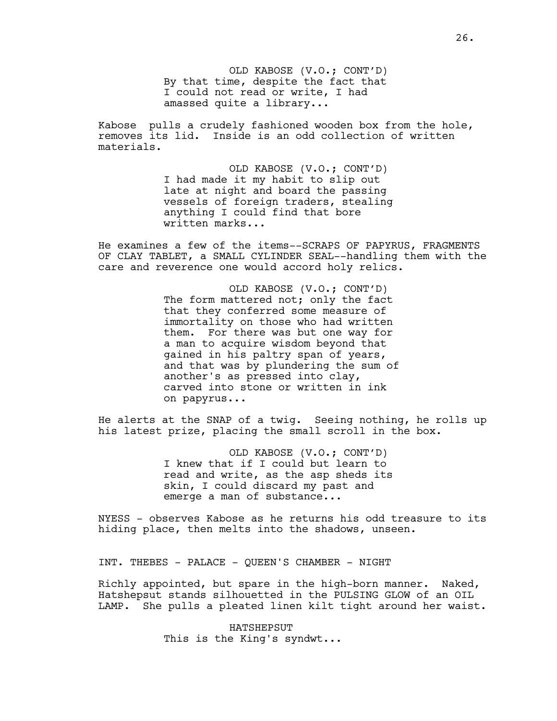OLD KABOSE (V.O.; CONT'D) By that time, despite the fact that I could not read or write, I had amassed quite a library...

Kabose pulls a crudely fashioned wooden box from the hole, removes its lid. Inside is an odd collection of written materials.

> OLD KABOSE (V.O.; CONT'D) I had made it my habit to slip out late at night and board the passing vessels of foreign traders, stealing anything I could find that bore written marks...

He examines a few of the items--SCRAPS OF PAPYRUS, FRAGMENTS OF CLAY TABLET, a SMALL CYLINDER SEAL--handling them with the care and reverence one would accord holy relics.

> OLD KABOSE (V.O.; CONT'D) The form mattered not; only the fact that they conferred some measure of immortality on those who had written them. For there was but one way for a man to acquire wisdom beyond that gained in his paltry span of years, and that was by plundering the sum of another's as pressed into clay, carved into stone or written in ink on papyrus...

He alerts at the SNAP of a twig. Seeing nothing, he rolls up his latest prize, placing the small scroll in the box.

> OLD KABOSE (V.O.; CONT'D) I knew that if I could but learn to read and write, as the asp sheds its skin, I could discard my past and emerge a man of substance...

NYESS - observes Kabose as he returns his odd treasure to its hiding place, then melts into the shadows, unseen.

INT. THEBES - PALACE - QUEEN'S CHAMBER - NIGHT

Richly appointed, but spare in the high-born manner. Naked, Hatshepsut stands silhouetted in the PULSING GLOW of an OIL LAMP. She pulls a pleated linen kilt tight around her waist.

> HATSHEPSUT This is the King's syndwt...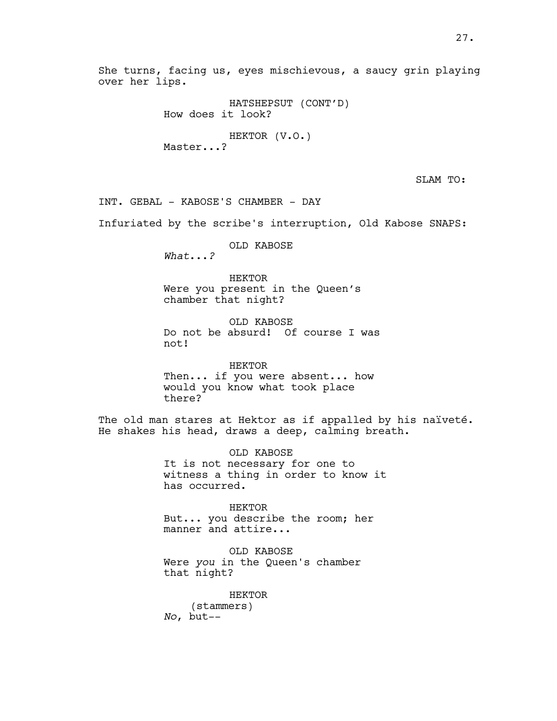```
HATSHEPSUT (CONT'D)
How does it look?
```
HEKTOR (V.O.) Master...?

SLAM TO:

INT. GEBAL - KABOSE'S CHAMBER - DAY

Infuriated by the scribe's interruption, Old Kabose SNAPS:

OLD KABOSE

*What*...*?*

HEKTOR Were you present in the Queen's chamber that night?

OLD KABOSE Do not be absurd! Of course I was not!

HEKTOR Then... if you were absent... how would you know what took place there?

The old man stares at Hektor as if appalled by his naïveté. He shakes his head, draws a deep, calming breath.

> OLD KABOSE It is not necessary for one to witness a thing in order to know it has occurred.

HEKTOR But... you describe the room; her manner and attire...

OLD KABOSE Were *you* in the Queen's chamber that night?

HEKTOR (stammers) *No*, but--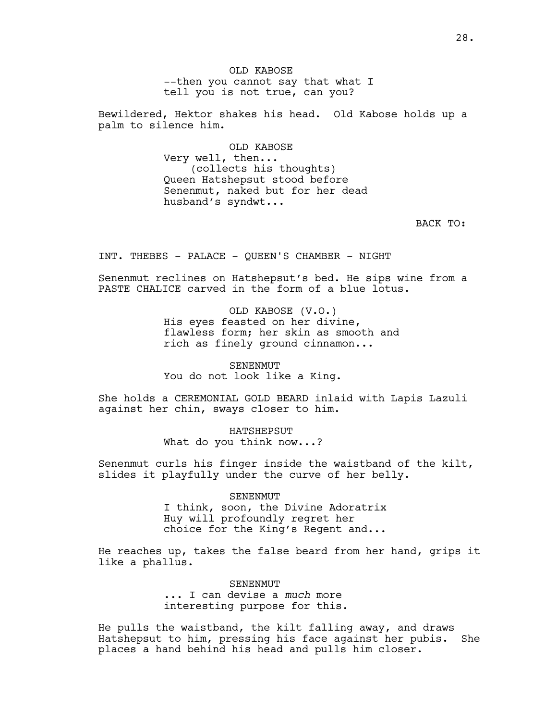OLD KABOSE --then you cannot say that what I tell you is not true, can you?

Bewildered, Hektor shakes his head. Old Kabose holds up a palm to silence him.

> OLD KABOSE Very well, then... (collects his thoughts) Queen Hatshepsut stood before Senenmut, naked but for her dead husband's syndwt...

> > BACK TO:

INT. THEBES - PALACE - QUEEN'S CHAMBER - NIGHT

Senenmut reclines on Hatshepsut's bed. He sips wine from a PASTE CHALICE carved in the form of a blue lotus.

> OLD KABOSE (V.O.) His eyes feasted on her divine, flawless form; her skin as smooth and rich as finely ground cinnamon...

SENENMUT You do not look like a King.

She holds a CEREMONIAL GOLD BEARD inlaid with Lapis Lazuli against her chin, sways closer to him.

> HATSHEPSUT What do you think now...?

Senenmut curls his finger inside the waistband of the kilt, slides it playfully under the curve of her belly.

> SENENMUT I think, soon, the Divine Adoratrix Huy will profoundly regret her choice for the King's Regent and...

He reaches up, takes the false beard from her hand, grips it like a phallus.

> SENENMUT ... I can devise a *much* more interesting purpose for this.

He pulls the waistband, the kilt falling away, and draws Hatshepsut to him, pressing his face against her pubis. She places a hand behind his head and pulls him closer.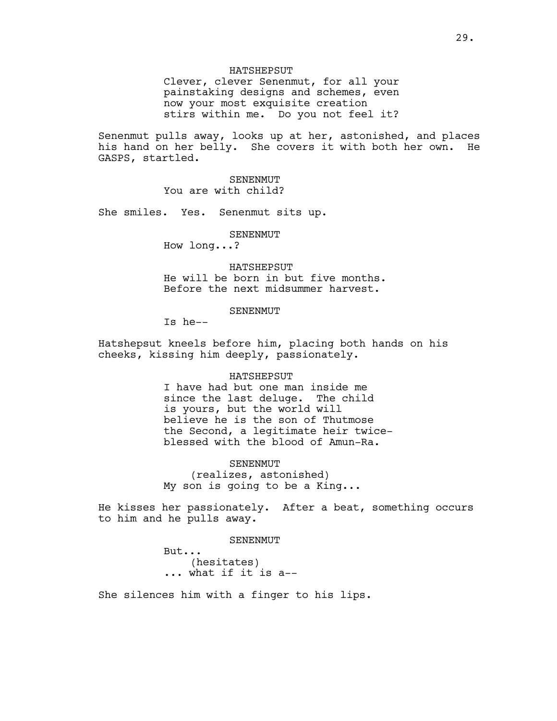### HATSHEPSUT

Clever, clever Senenmut, for all your painstaking designs and schemes, even now your most exquisite creation stirs within me. Do you not feel it?

Senenmut pulls away, looks up at her, astonished, and places his hand on her belly. She covers it with both her own. He GASPS, startled.

> SENENMUT You are with child?

She smiles. Yes. Senenmut sits up.

SENENMUT

How long...?

HATSHEPSUT He will be born in but five months. Before the next midsummer harvest.

**SENENMUT** 

Is he--

Hatshepsut kneels before him, placing both hands on his cheeks, kissing him deeply, passionately.

#### HATSHEPSUT

I have had but one man inside me since the last deluge. The child is yours, but the world will believe he is the son of Thutmose the Second, a legitimate heir twiceblessed with the blood of Amun-Ra.

SENENMUT (realizes, astonished) My son is going to be a King...

He kisses her passionately. After a beat, something occurs to him and he pulls away.

SENENMUT

But... (hesitates) ... what if it is a--

She silences him with a finger to his lips.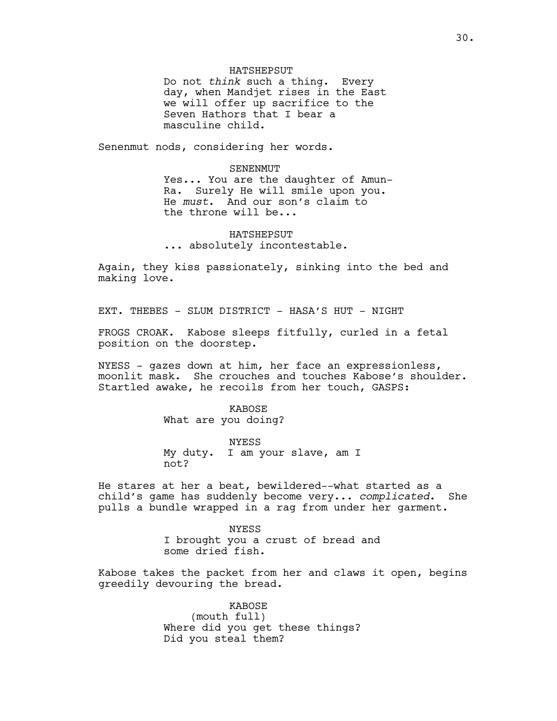### HATSHEPSUT

Do not *think* such a thing. Every day, when Mandjet rises in the East we will offer up sacrifice to the Seven Hathors that I bear a masculine child.

Senenmut nods, considering her words.

#### SENENMUT

Yes... You are the daughter of Amun-Ra. Surely He will smile upon you. He *must*. And our son's claim to the throne will be...

HATSHEPSUT ... absolutely incontestable.

Again, they kiss passionately, sinking into the bed and making love.

EXT. THEBES - SLUM DISTRICT - HASA'S HUT - NIGHT

FROGS CROAK. Kabose sleeps fitfully, curled in a fetal position on the doorstep.

NYESS - gazes down at him, her face an expressionless, moonlit mask. She crouches and touches Kabose's shoulder. Startled awake, he recoils from her touch, GASPS:

> KABOSE What are you doing?

NYESS My duty. I am your slave, am I not?

He stares at her a beat, bewildered--what started as a child's game has suddenly become very... *complicated*. She pulls a bundle wrapped in a rag from under her garment.

> NYESS I brought you a crust of bread and some dried fish.

Kabose takes the packet from her and claws it open, begins greedily devouring the bread.

> KABOSE (mouth full) Where did you get these things? Did you steal them?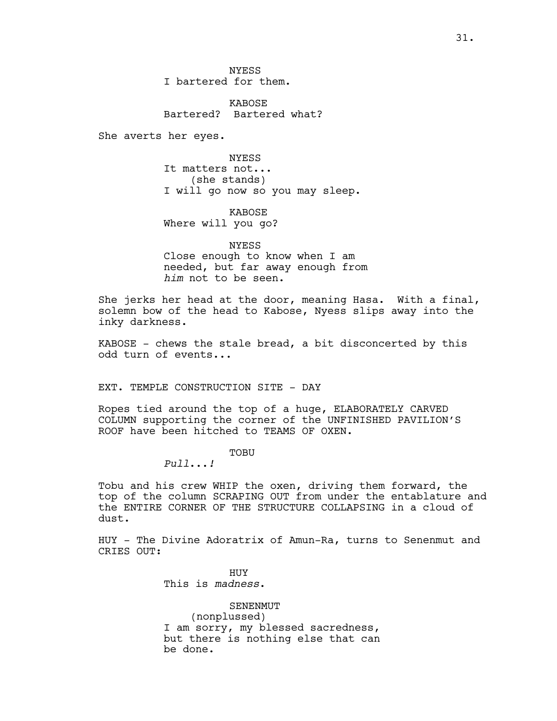**NYESS** I bartered for them.

KABOSE Bartered? Bartered what?

She averts her eyes.

NYESS It matters not... (she stands) I will go now so you may sleep.

**KABOSE** Where will you go?

NYESS Close enough to know when I am needed, but far away enough from *him* not to be seen.

She jerks her head at the door, meaning Hasa. With a final, solemn bow of the head to Kabose, Nyess slips away into the inky darkness.

KABOSE - chews the stale bread, a bit disconcerted by this odd turn of events...

EXT. TEMPLE CONSTRUCTION SITE - DAY

Ropes tied around the top of a huge, ELABORATELY CARVED COLUMN supporting the corner of the UNFINISHED PAVILION'S ROOF have been hitched to TEAMS OF OXEN.

TOBU

*Pull*...*!*

Tobu and his crew WHIP the oxen, driving them forward, the top of the column SCRAPING OUT from under the entablature and the ENTIRE CORNER OF THE STRUCTURE COLLAPSING in a cloud of dust.

HUY - The Divine Adoratrix of Amun-Ra, turns to Senenmut and CRIES OUT:

> HUY This is *madness*.

SENENMUT (nonplussed) I am sorry, my blessed sacredness, but there is nothing else that can be done.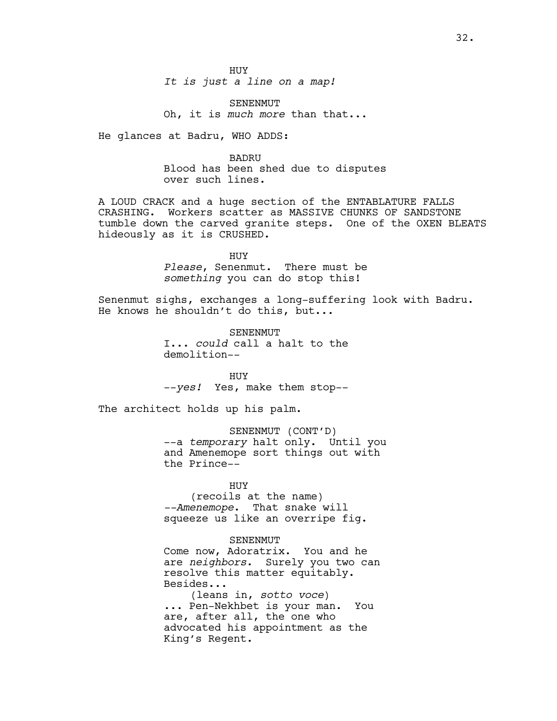SENENMUT Oh, it is *much more* than that...

He glances at Badru, WHO ADDS:

# BADRU

Blood has been shed due to disputes over such lines.

A LOUD CRACK and a huge section of the ENTABLATURE FALLS CRASHING. Workers scatter as MASSIVE CHUNKS OF SANDSTONE tumble down the carved granite steps. One of the OXEN BLEATS hideously as it is CRUSHED.

> HUY *Please*, Senenmut. There must be *something* you can do stop this!

Senenmut sighs, exchanges a long-suffering look with Badru. He knows he shouldn't do this, but...

> SENENMUT I... *could* call a halt to the demolition--

> HUY --*yes!* Yes, make them stop--

The architect holds up his palm.

SENENMUT (CONT'D) --a *temporary* halt only. Until you and Amenemope sort things out with the Prince--

## HUY

(recoils at the name) *--Amenemope*. That snake will squeeze us like an overripe fig.

### SENENMUT

Come now, Adoratrix. You and he are *neighbors*. Surely you two can resolve this matter equitably. Besides...

(leans in, *sotto voce*) ... Pen-Nekhbet is your man. You are, after all, the one who advocated his appointment as the King's Regent.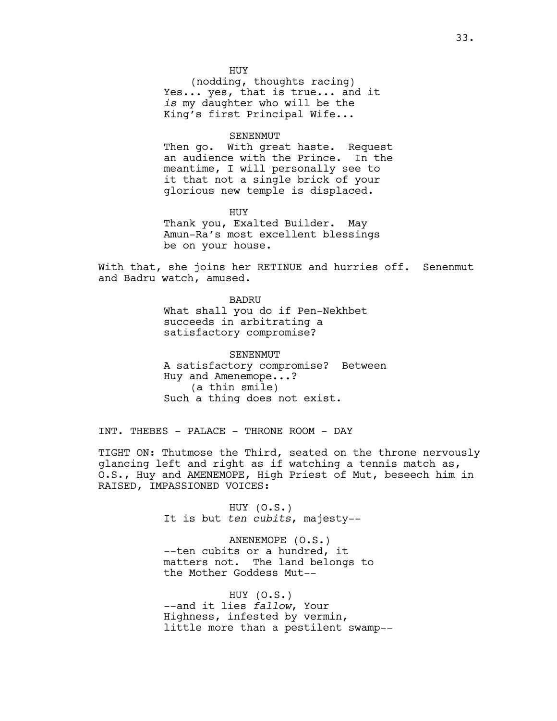#### HUY

(nodding, thoughts racing) Yes... yes, that is true... and it *is* my daughter who will be the King's first Principal Wife...

#### SENENMUT

Then go. With great haste. Request an audience with the Prince. In the meantime, I will personally see to it that not a single brick of your glorious new temple is displaced.

HUY Thank you, Exalted Builder. May Amun-Ra's most excellent blessings be on your house.

With that, she joins her RETINUE and hurries off. Senenmut and Badru watch, amused.

#### BADRU

What shall you do if Pen-Nekhbet succeeds in arbitrating a satisfactory compromise?

SENENMUT A satisfactory compromise? Between Huy and Amenemope...? (a thin smile) Such a thing does not exist.

INT. THEBES - PALACE - THRONE ROOM - DAY

TIGHT ON: Thutmose the Third, seated on the throne nervously glancing left and right as if watching a tennis match as, O.S., Huy and AMENEMOPE, High Priest of Mut, beseech him in RAISED, IMPASSIONED VOICES:

> HUY (O.S.) It is but *ten cubits*, majesty--

ANENEMOPE (O.S.) --ten cubits or a hundred, it matters not. The land belongs to the Mother Goddess Mut--

HUY (O.S.) --and it lies *fallow*, Your Highness, infested by vermin, little more than a pestilent swamp--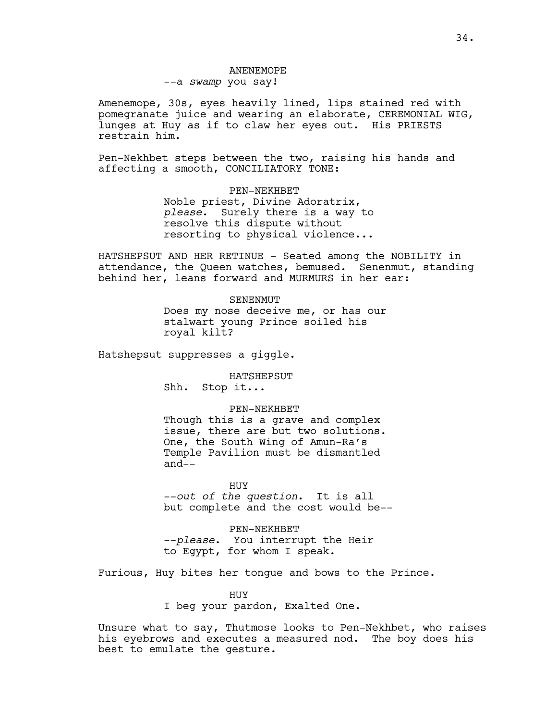## ANENEMOPE --a *swamp* you say!

Amenemope, 30s, eyes heavily lined, lips stained red with pomegranate juice and wearing an elaborate, CEREMONIAL WIG, lunges at Huy as if to claw her eyes out. His PRIESTS restrain him.

Pen-Nekhbet steps between the two, raising his hands and affecting a smooth, CONCILIATORY TONE:

> PEN-NEKHBET Noble priest, Divine Adoratrix, *please*. Surely there is a way to resolve this dispute without resorting to physical violence...

HATSHEPSUT AND HER RETINUE - Seated among the NOBILITY in attendance, the Queen watches, bemused. Senenmut, standing behind her, leans forward and MURMURS in her ear:

> SENENMUT Does my nose deceive me, or has our stalwart young Prince soiled his royal kilt?

Hatshepsut suppresses a giggle.

HATSHEPSUT Shh. Stop it...

### PEN-NEKHBET

Though this is a grave and complex issue, there are but two solutions. One, the South Wing of Amun-Ra's Temple Pavilion must be dismantled and--

HUY --*out of the question*. It is all but complete and the cost would be--

PEN-NEKHBET --*please*. You interrupt the Heir to Egypt, for whom I speak.

Furious, Huy bites her tongue and bows to the Prince.

HUY

I beg your pardon, Exalted One.

Unsure what to say, Thutmose looks to Pen-Nekhbet, who raises his eyebrows and executes a measured nod. The boy does his best to emulate the gesture.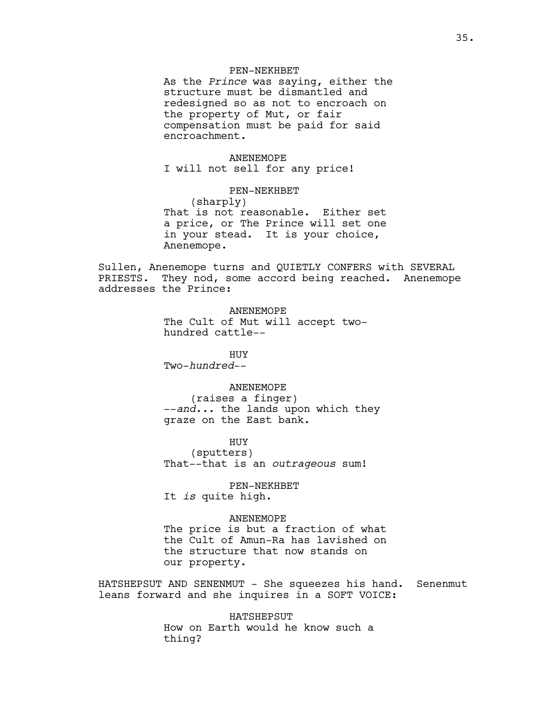## PEN-NEKHBET

As the *Prince* was saying, either the structure must be dismantled and redesigned so as not to encroach on the property of Mut, or fair compensation must be paid for said encroachment.

# ANENEMOPE I will not sell for any price!

PEN-NEKHBET (sharply) That is not reasonable. Either set a price, or The Prince will set one in your stead. It is your choice, Anenemope.

Sullen, Anenemope turns and QUIETLY CONFERS with SEVERAL PRIESTS. They nod, some accord being reached. Anenemope addresses the Prince:

> ANENEMOPE The Cult of Mut will accept twohundred cattle--

> > HUY

Two-*hundred*--

ANENEMOPE

(raises a finger) --*and...* the lands upon which they graze on the East bank.

HUY (sputters) That--that is an *outrageous* sum!

PEN-NEKHBET It *is* quite high.

#### ANENEMOPE

The price is but a fraction of what the Cult of Amun-Ra has lavished on the structure that now stands on our property.

HATSHEPSUT AND SENENMUT - She squeezes his hand. Senenmut leans forward and she inquires in a SOFT VOICE:

> HATSHEPSUT How on Earth would he know such a thing?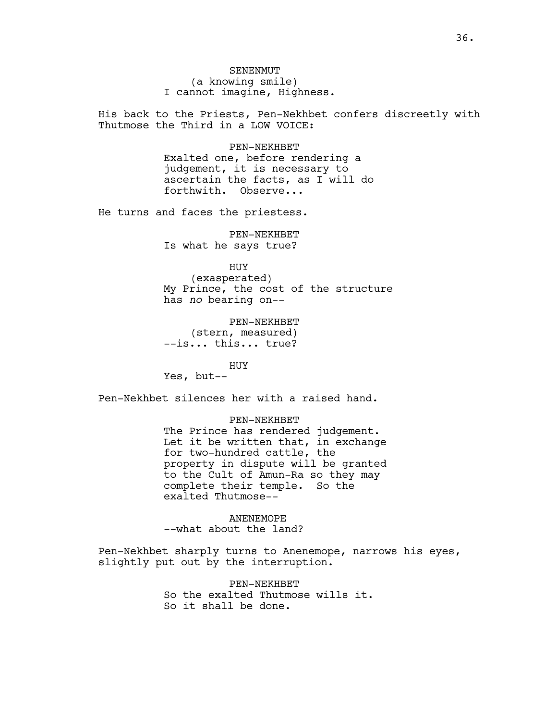**SENENMUT** (a knowing smile) I cannot imagine, Highness.

His back to the Priests, Pen-Nekhbet confers discreetly with Thutmose the Third in a LOW VOICE:

PEN-NEKHBET

Exalted one, before rendering a judgement, it is necessary to ascertain the facts, as I will do forthwith. Observe...

He turns and faces the priestess.

PEN-NEKHBET Is what he says true?

HUY

(exasperated) My Prince, the cost of the structure has *no* bearing on--

PEN-NEKHBET (stern, measured) --is... this... true?

HUY

Yes, but--

Pen-Nekhbet silences her with a raised hand.

PEN-NEKHBET

The Prince has rendered judgement. Let it be written that, in exchange for two-hundred cattle, the property in dispute will be granted to the Cult of Amun-Ra so they may complete their temple. So the exalted Thutmose--

ANENEMOPE --what about the land?

Pen-Nekhbet sharply turns to Anenemope, narrows his eyes, slightly put out by the interruption.

> PEN-NEKHBET So the exalted Thutmose wills it. So it shall be done.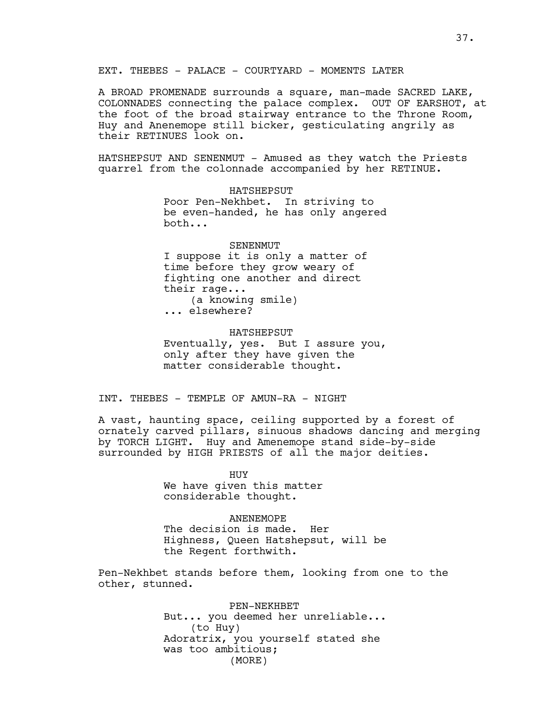EXT. THEBES - PALACE - COURTYARD - MOMENTS LATER

A BROAD PROMENADE surrounds a square, man-made SACRED LAKE, COLONNADES connecting the palace complex. OUT OF EARSHOT, at the foot of the broad stairway entrance to the Throne Room, Huy and Anenemope still bicker, gesticulating angrily as their RETINUES look on.

HATSHEPSUT AND SENENMUT - Amused as they watch the Priests quarrel from the colonnade accompanied by her RETINUE.

> HATSHEPSUT Poor Pen-Nekhbet. In striving to be even-handed, he has only angered both...

# SENENMUT

I suppose it is only a matter of time before they grow weary of fighting one another and direct their rage... (a knowing smile) ... elsewhere?

### HATSHEPSUT

Eventually, yes. But I assure you, only after they have given the matter considerable thought.

INT. THEBES - TEMPLE OF AMUN-RA - NIGHT

A vast, haunting space, ceiling supported by a forest of ornately carved pillars, sinuous shadows dancing and merging by TORCH LIGHT. Huy and Amenemope stand side-by-side surrounded by HIGH PRIESTS of all the major deities.

> **HUY** We have given this matter considerable thought.

# ANENEMOPE

The decision is made. Her Highness, Queen Hatshepsut, will be the Regent forthwith.

Pen-Nekhbet stands before them, looking from one to the other, stunned.

> PEN-NEKHBET But... you deemed her unreliable... (to Huy) Adoratrix, you yourself stated she was too ambitious; (MORE)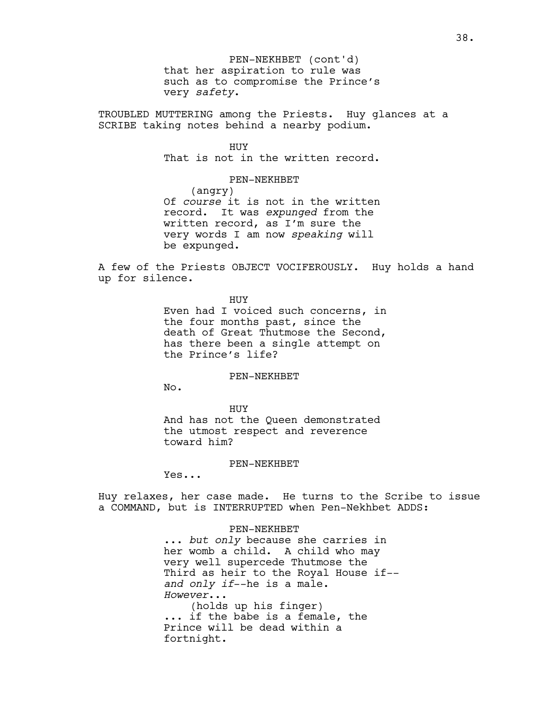that her aspiration to rule was such as to compromise the Prince's very *safety*. PEN-NEKHBET (cont'd)

TROUBLED MUTTERING among the Priests. Huy glances at a SCRIBE taking notes behind a nearby podium.

### HUY

That is not in the written record.

# PEN-NEKHBET

(angry) Of *course* it is not in the written record. It was *expunged* from the written record, as I'm sure the very words I am now *speaking* will be expunged.

A few of the Priests OBJECT VOCIFEROUSLY. Huy holds a hand up for silence.

> HUY Even had I voiced such concerns, in the four months past, since the death of Great Thutmose the Second, has there been a single attempt on the Prince's life?

### PEN-NEKHBET

No.

HUY And has not the Queen demonstrated the utmost respect and reverence toward him?

#### PEN-NEKHBET

Yes...

Huy relaxes, her case made. He turns to the Scribe to issue a COMMAND, but is INTERRUPTED when Pen-Nekhbet ADDS:

> PEN-NEKHBET ... *but only* because she carries in her womb a child. A child who may very well supercede Thutmose the Third as heir to the Royal House if- *and only if*--he is a male. *However*... (holds up his finger) ... if the babe is a female, the Prince will be dead within a fortnight.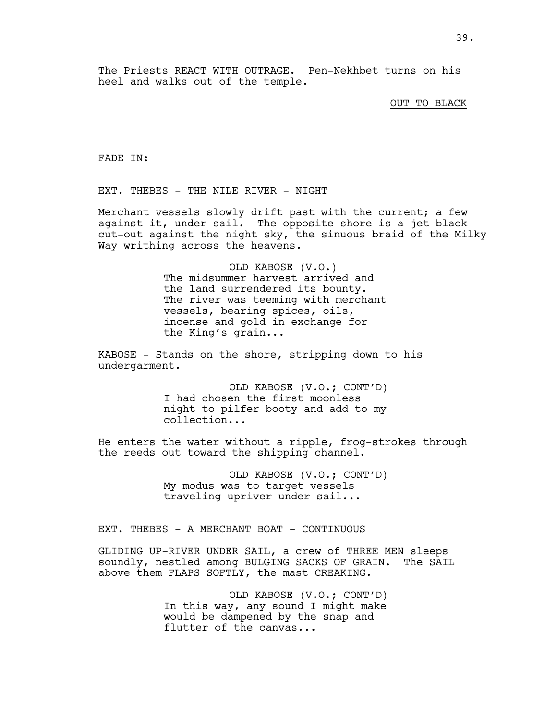### OUT TO BLACK

FADE IN:

EXT. THEBES - THE NILE RIVER - NIGHT

Merchant vessels slowly drift past with the current; a few against it, under sail. The opposite shore is a jet-black cut-out against the night sky, the sinuous braid of the Milky Way writhing across the heavens.

> OLD KABOSE (V.O.) The midsummer harvest arrived and the land surrendered its bounty. The river was teeming with merchant vessels, bearing spices, oils, incense and gold in exchange for the King's grain...

KABOSE - Stands on the shore, stripping down to his undergarment.

> OLD KABOSE (V.O.; CONT'D) I had chosen the first moonless night to pilfer booty and add to my collection...

He enters the water without a ripple, frog-strokes through the reeds out toward the shipping channel.

> OLD KABOSE (V.O.; CONT'D) My modus was to target vessels traveling upriver under sail...

EXT. THEBES - A MERCHANT BOAT - CONTINUOUS

GLIDING UP-RIVER UNDER SAIL, a crew of THREE MEN sleeps soundly, nestled among BULGING SACKS OF GRAIN. The SAIL above them FLAPS SOFTLY, the mast CREAKING.

> OLD KABOSE (V.O.; CONT'D) In this way, any sound I might make would be dampened by the snap and flutter of the canvas...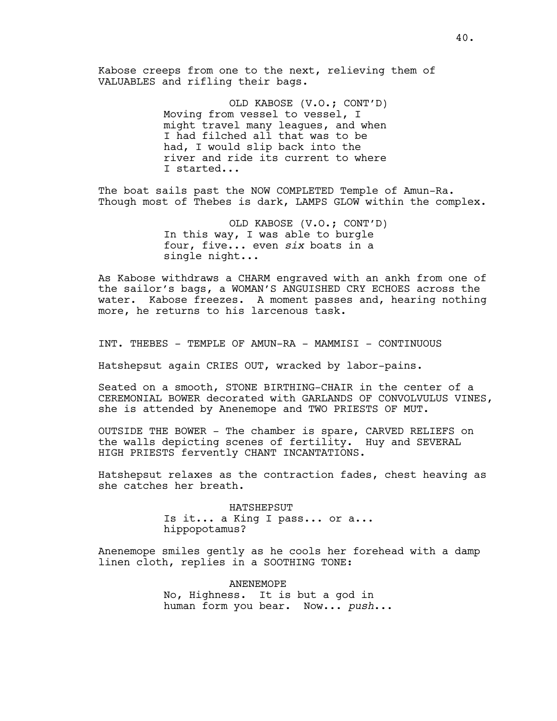Kabose creeps from one to the next, relieving them of VALUABLES and rifling their bags.

> OLD KABOSE (V.O.; CONT'D) Moving from vessel to vessel, I might travel many leagues, and when I had filched all that was to be had, I would slip back into the river and ride its current to where I started...

The boat sails past the NOW COMPLETED Temple of Amun-Ra. Though most of Thebes is dark, LAMPS GLOW within the complex.

> OLD KABOSE (V.O.; CONT'D) In this way, I was able to burgle four, five... even *six* boats in a single night...

As Kabose withdraws a CHARM engraved with an ankh from one of the sailor's bags, a WOMAN'S ANGUISHED CRY ECHOES across the water. Kabose freezes. A moment passes and, hearing nothing more, he returns to his larcenous task.

INT. THEBES - TEMPLE OF AMUN-RA - MAMMISI - CONTINUOUS

Hatshepsut again CRIES OUT, wracked by labor-pains.

Seated on a smooth, STONE BIRTHING-CHAIR in the center of a CEREMONIAL BOWER decorated with GARLANDS OF CONVOLVULUS VINES, she is attended by Anenemope and TWO PRIESTS OF MUT.

OUTSIDE THE BOWER - The chamber is spare, CARVED RELIEFS on the walls depicting scenes of fertility. Huy and SEVERAL HIGH PRIESTS fervently CHANT INCANTATIONS.

Hatshepsut relaxes as the contraction fades, chest heaving as she catches her breath.

> HATSHEPSUT Is it... a King I pass... or a... hippopotamus?

Anenemope smiles gently as he cools her forehead with a damp linen cloth, replies in a SOOTHING TONE:

> ANENEMOPE No, Highness. It is but a god in human form you bear. Now... *push*...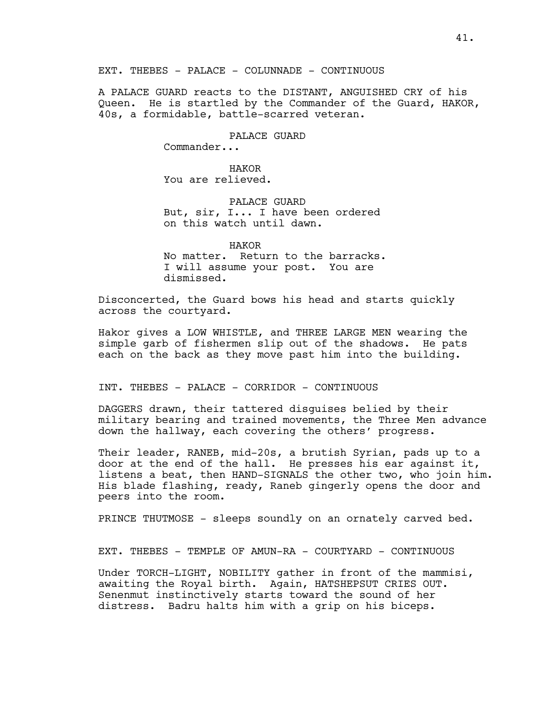EXT. THEBES - PALACE - COLUNNADE - CONTINUOUS

A PALACE GUARD reacts to the DISTANT, ANGUISHED CRY of his Queen. He is startled by the Commander of the Guard, HAKOR, 40s, a formidable, battle-scarred veteran.

PALACE GUARD

Commander...

HAKOR You are relieved.

PALACE GUARD But, sir, I... I have been ordered on this watch until dawn.

HAKOR No matter. Return to the barracks. I will assume your post. You are dismissed.

Disconcerted, the Guard bows his head and starts quickly across the courtyard.

Hakor gives a LOW WHISTLE, and THREE LARGE MEN wearing the simple garb of fishermen slip out of the shadows. He pats each on the back as they move past him into the building.

INT. THEBES - PALACE - CORRIDOR - CONTINUOUS

DAGGERS drawn, their tattered disguises belied by their military bearing and trained movements, the Three Men advance down the hallway, each covering the others' progress.

Their leader, RANEB, mid-20s, a brutish Syrian, pads up to a door at the end of the hall. He presses his ear against it, listens a beat, then HAND-SIGNALS the other two, who join him. His blade flashing, ready, Raneb gingerly opens the door and peers into the room.

PRINCE THUTMOSE - sleeps soundly on an ornately carved bed.

EXT. THEBES - TEMPLE OF AMUN-RA - COURTYARD - CONTINUOUS

Under TORCH-LIGHT, NOBILITY gather in front of the mammisi, awaiting the Royal birth. Again, HATSHEPSUT CRIES OUT. Senenmut instinctively starts toward the sound of her distress. Badru halts him with a grip on his biceps.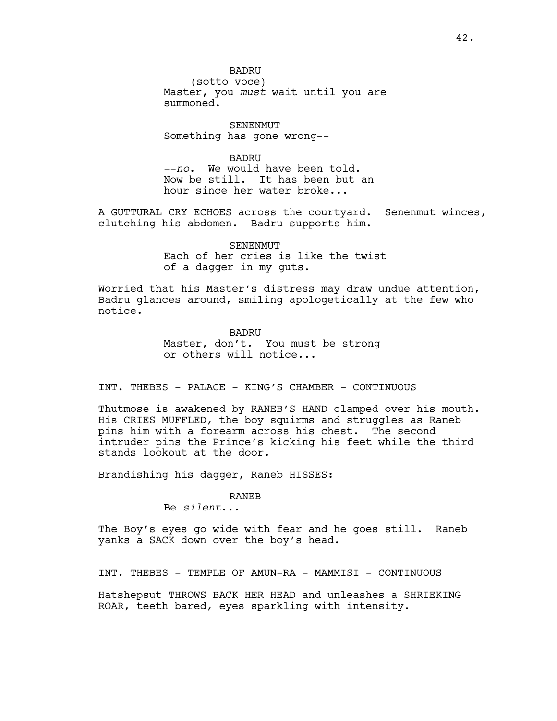BADRU

(sotto voce) Master, you *must* wait until you are summoned.

SENENMUT Something has gone wrong--

BADRU --*no*. We would have been told. Now be still. It has been but an hour since her water broke...

A GUTTURAL CRY ECHOES across the courtyard. Senenmut winces, clutching his abdomen. Badru supports him.

> SENENMUT Each of her cries is like the twist of a dagger in my guts.

Worried that his Master's distress may draw undue attention, Badru glances around, smiling apologetically at the few who notice.

> BADRU Master, don't. You must be strong or others will notice...

INT. THEBES - PALACE - KING'S CHAMBER - CONTINUOUS

Thutmose is awakened by RANEB'S HAND clamped over his mouth. His CRIES MUFFLED, the boy squirms and struggles as Raneb pins him with a forearm across his chest. The second intruder pins the Prince's kicking his feet while the third stands lookout at the door.

Brandishing his dagger, Raneb HISSES:

## RANEB

Be *silent*...

The Boy's eyes go wide with fear and he goes still. Raneb yanks a SACK down over the boy's head.

INT. THEBES - TEMPLE OF AMUN-RA - MAMMISI - CONTINUOUS

Hatshepsut THROWS BACK HER HEAD and unleashes a SHRIEKING ROAR, teeth bared, eyes sparkling with intensity.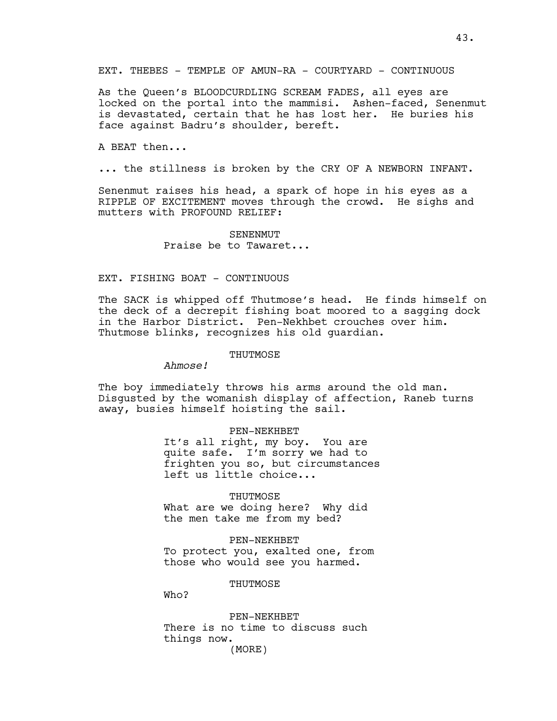EXT. THEBES - TEMPLE OF AMUN-RA - COURTYARD - CONTINUOUS

As the Queen's BLOODCURDLING SCREAM FADES, all eyes are locked on the portal into the mammisi. Ashen-faced, Senenmut is devastated, certain that he has lost her. He buries his face against Badru's shoulder, bereft.

A BEAT then...

... the stillness is broken by the CRY OF A NEWBORN INFANT.

Senenmut raises his head, a spark of hope in his eyes as a RIPPLE OF EXCITEMENT moves through the crowd. He sighs and mutters with PROFOUND RELIEF:

> **SENENMUT** Praise be to Tawaret...

# EXT. FISHING BOAT - CONTINUOUS

The SACK is whipped off Thutmose's head. He finds himself on the deck of a decrepit fishing boat moored to a sagging dock in the Harbor District. Pen-Nekhbet crouches over him. Thutmose blinks, recognizes his old guardian.

#### THUTMOSE

*Ahmose!*

The boy immediately throws his arms around the old man. Disgusted by the womanish display of affection, Raneb turns away, busies himself hoisting the sail.

## PEN-NEKHBET

It's all right, my boy. You are quite safe. I'm sorry we had to frighten you so, but circumstances left us little choice...

#### THUTMOSE

What are we doing here? Why did the men take me from my bed?

## PEN-NEKHBET

To protect you, exalted one, from those who would see you harmed.

#### THUTMOSE

Who?

PEN-NEKHBET There is no time to discuss such things now. (MORE)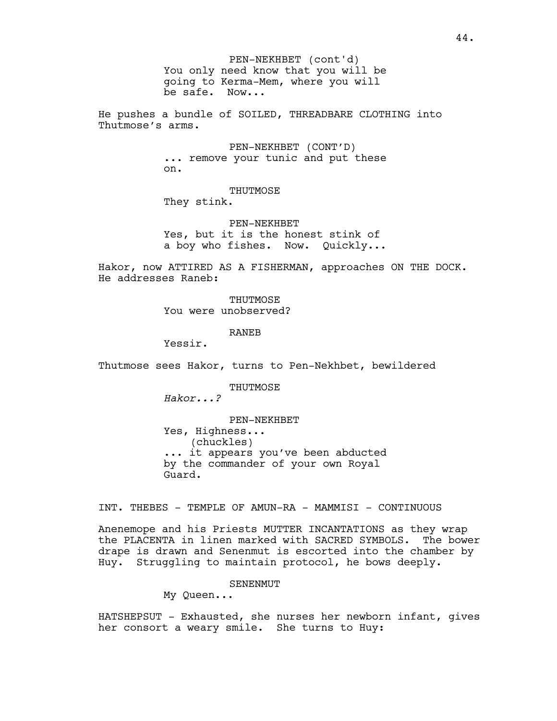You only need know that you will be going to Kerma-Mem, where you will be safe. Now... PEN-NEKHBET (cont'd)

He pushes a bundle of SOILED, THREADBARE CLOTHING into Thutmose's arms.

> PEN-NEKHBET (CONT'D) ... remove your tunic and put these on.

THUTMOSE They stink.

PEN-NEKHBET Yes, but it is the honest stink of a boy who fishes. Now. Quickly...

Hakor, now ATTIRED AS A FISHERMAN, approaches ON THE DOCK. He addresses Raneb:

> THUTMOSE You were unobserved?

> > RANEB

Yessir.

Thutmose sees Hakor, turns to Pen-Nekhbet, bewildered

THUTMOSE

*Hakor...?*

PEN-NEKHBET Yes, Highness... (chuckles) ... it appears you've been abducted by the commander of your own Royal Guard.

INT. THEBES - TEMPLE OF AMUN-RA - MAMMISI - CONTINUOUS

Anenemope and his Priests MUTTER INCANTATIONS as they wrap the PLACENTA in linen marked with SACRED SYMBOLS. The bower drape is drawn and Senenmut is escorted into the chamber by Huy. Struggling to maintain protocol, he bows deeply.

SENENMUT

My Queen...

HATSHEPSUT - Exhausted, she nurses her newborn infant, gives her consort a weary smile. She turns to Huy: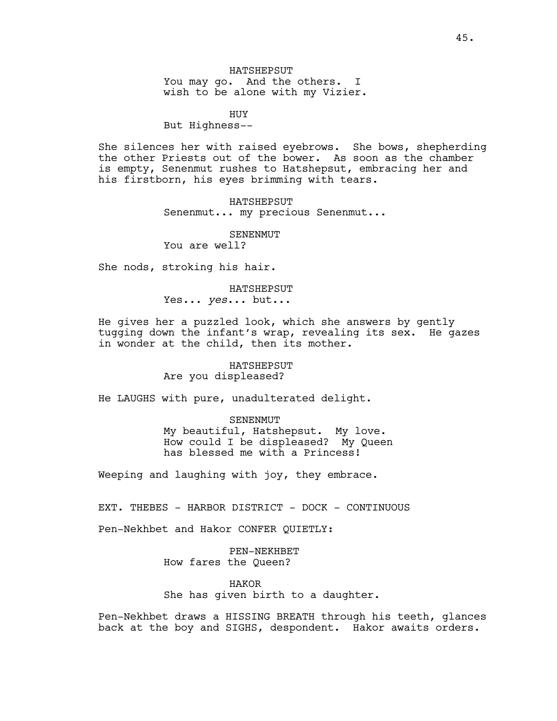HUY But Highness--

She silences her with raised eyebrows. She bows, shepherding the other Priests out of the bower. As soon as the chamber is empty, Senenmut rushes to Hatshepsut, embracing her and his firstborn, his eyes brimming with tears.

> HATSHEPSUT Senenmut... my precious Senenmut...

> > **SENENMUT**

You are well?

She nods, stroking his hair.

HATSHEPSUT Yes... *yes*... but...

He gives her a puzzled look, which she answers by gently tugging down the infant's wrap, revealing its sex. He gazes in wonder at the child, then its mother.

## HATSHEPSUT Are you displeased?

He LAUGHS with pure, unadulterated delight.

SENENMUT

My beautiful, Hatshepsut. My love. How could I be displeased? My Queen has blessed me with a Princess!

Weeping and laughing with joy, they embrace.

EXT. THEBES - HARBOR DISTRICT - DOCK - CONTINUOUS

Pen-Nekhbet and Hakor CONFER QUIETLY:

PEN-NEKHBET How fares the Queen?

HAKOR She has given birth to a daughter.

Pen-Nekhbet draws a HISSING BREATH through his teeth, glances back at the boy and SIGHS, despondent. Hakor awaits orders.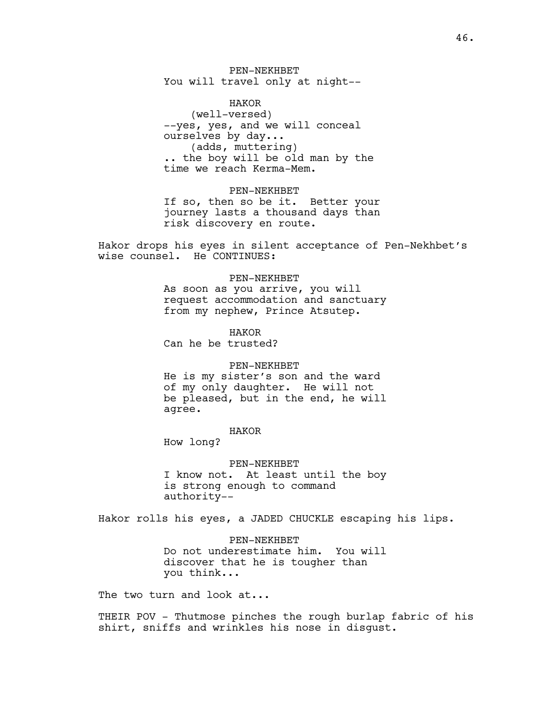PEN-NEKHBET You will travel only at night--

HAKOR (well-versed) --yes, yes, and we will conceal ourselves by day... (adds, muttering) .. the boy will be old man by the time we reach Kerma-Mem.

PEN-NEKHBET If so, then so be it. Better your journey lasts a thousand days than risk discovery en route.

Hakor drops his eyes in silent acceptance of Pen-Nekhbet's wise counsel. He CONTINUES:

## PEN-NEKHBET

As soon as you arrive, you will request accommodation and sanctuary from my nephew, Prince Atsutep.

HAKOR Can he be trusted?

### PEN-NEKHBET

He is my sister's son and the ward of my only daughter. He will not be pleased, but in the end, he will agree.

# HAKOR

How long?

PEN-NEKHBET I know not. At least until the boy is strong enough to command authority--

Hakor rolls his eyes, a JADED CHUCKLE escaping his lips.

PEN-NEKHBET Do not underestimate him. You will discover that he is tougher than you think...

The two turn and look at...

THEIR POV - Thutmose pinches the rough burlap fabric of his shirt, sniffs and wrinkles his nose in disgust.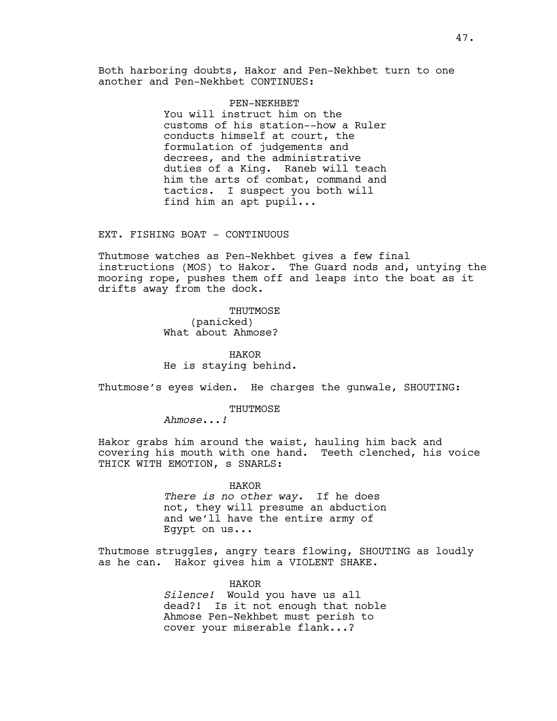Both harboring doubts, Hakor and Pen-Nekhbet turn to one another and Pen-Nekhbet CONTINUES:

#### PEN-NEKHBET

You will instruct him on the customs of his station--how a Ruler conducts himself at court, the formulation of judgements and decrees, and the administrative duties of a King. Raneb will teach him the arts of combat, command and tactics. I suspect you both will find him an apt pupil...

EXT. FISHING BOAT - CONTINUOUS

Thutmose watches as Pen-Nekhbet gives a few final instructions (MOS) to Hakor. The Guard nods and, untying the mooring rope, pushes them off and leaps into the boat as it drifts away from the dock.

> THUTMOSE (panicked) What about Ahmose?

HAKOR He is staying behind.

Thutmose's eyes widen. He charges the gunwale, SHOUTING:

### THUTMOSE

*Ahmose*...*!*

Hakor grabs him around the waist, hauling him back and covering his mouth with one hand. Teeth clenched, his voice THICK WITH EMOTION, s SNARLS:

HAKOR

*There is no other way.* If he does not, they will presume an abduction and we'll have the entire army of Egypt on us...

Thutmose struggles, angry tears flowing, SHOUTING as loudly as he can. Hakor gives him a VIOLENT SHAKE.

HAKOR

*Silence!* Would you have us all dead?! Is it not enough that noble Ahmose Pen-Nekhbet must perish to cover your miserable flank...?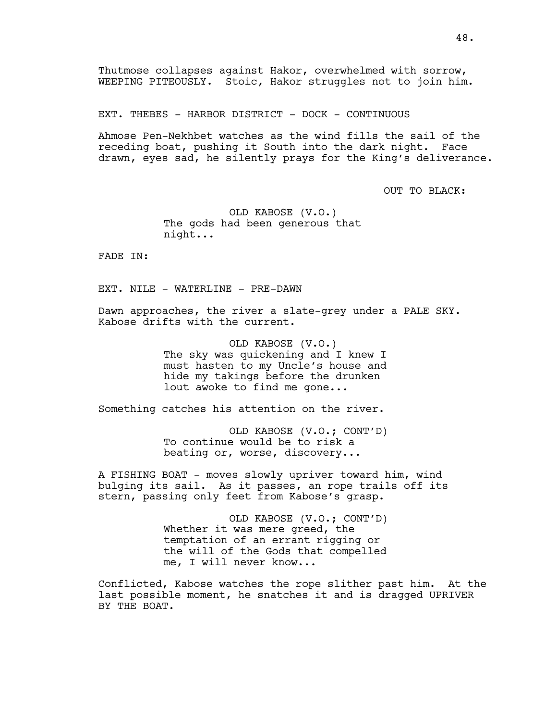Thutmose collapses against Hakor, overwhelmed with sorrow, WEEPING PITEOUSLY. Stoic, Hakor struggles not to join him.

EXT. THEBES - HARBOR DISTRICT - DOCK - CONTINUOUS

Ahmose Pen-Nekhbet watches as the wind fills the sail of the receding boat, pushing it South into the dark night. Face drawn, eyes sad, he silently prays for the King's deliverance.

OUT TO BLACK:

OLD KABOSE (V.O.) The gods had been generous that night...

FADE IN:

EXT. NILE - WATERLINE - PRE-DAWN

Dawn approaches, the river a slate-grey under a PALE SKY. Kabose drifts with the current.

> OLD KABOSE (V.O.) The sky was quickening and I knew I must hasten to my Uncle's house and hide my takings before the drunken lout awoke to find me gone...

Something catches his attention on the river.

OLD KABOSE (V.O.; CONT'D) To continue would be to risk a beating or, worse, discovery...

A FISHING BOAT - moves slowly upriver toward him, wind bulging its sail. As it passes, an rope trails off its stern, passing only feet from Kabose's grasp.

> OLD KABOSE (V.O.; CONT'D) Whether it was mere greed, the temptation of an errant rigging or the will of the Gods that compelled me, I will never know...

Conflicted, Kabose watches the rope slither past him. At the last possible moment, he snatches it and is dragged UPRIVER BY THE BOAT.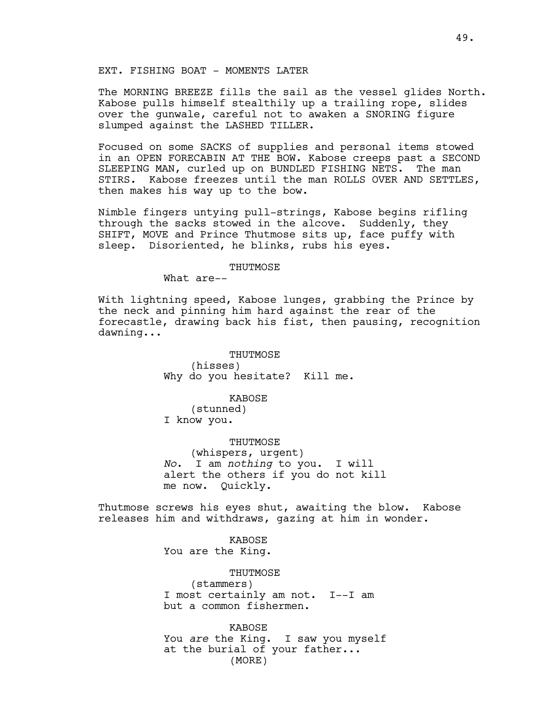# EXT. FISHING BOAT - MOMENTS LATER

The MORNING BREEZE fills the sail as the vessel glides North. Kabose pulls himself stealthily up a trailing rope, slides over the gunwale, careful not to awaken a SNORING figure slumped against the LASHED TILLER.

Focused on some SACKS of supplies and personal items stowed in an OPEN FORECABIN AT THE BOW. Kabose creeps past a SECOND SLEEPING MAN, curled up on BUNDLED FISHING NETS. The man STIRS. Kabose freezes until the man ROLLS OVER AND SETTLES, then makes his way up to the bow.

Nimble fingers untying pull-strings, Kabose begins rifling through the sacks stowed in the alcove. Suddenly, they SHIFT, MOVE and Prince Thutmose sits up, face puffy with sleep. Disoriented, he blinks, rubs his eyes.

### THUTMOSE

What are--

With lightning speed, Kabose lunges, grabbing the Prince by the neck and pinning him hard against the rear of the forecastle, drawing back his fist, then pausing, recognition dawning...

> THUTMOSE (hisses) Why do you hesitate? Kill me.

KABOSE (stunned) I know you.

THUTMOSE (whispers, urgent) *No*. I am *nothing* to you. I will alert the others if you do not kill me now. Quickly.

Thutmose screws his eyes shut, awaiting the blow. Kabose releases him and withdraws, gazing at him in wonder.

> KABOSE You are the King.

THUTMOSE (stammers) I most certainly am not. I--I am but a common fishermen.

KABOSE You *are* the King. I saw you myself at the burial of your father... (MORE)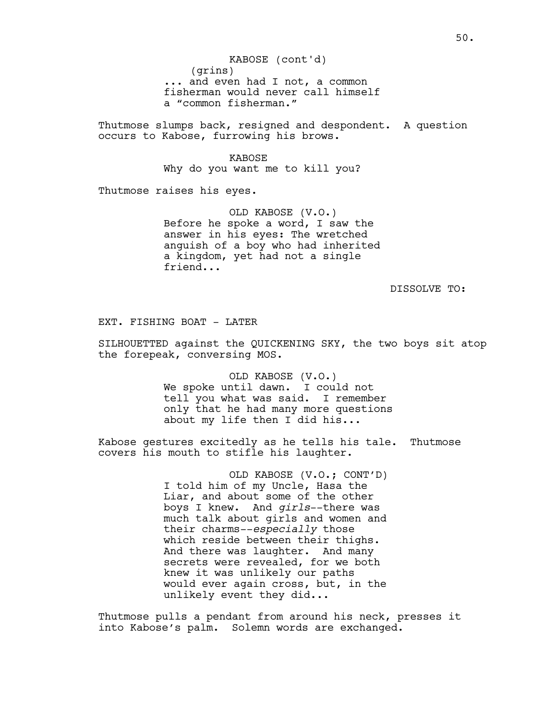(grins) ... and even had I not, a common fisherman would never call himself a "common fisherman." KABOSE (cont'd)

Thutmose slumps back, resigned and despondent. A question occurs to Kabose, furrowing his brows.

# KABOSE

Why do you want me to kill you?

Thutmose raises his eyes.

OLD KABOSE (V.O.) Before he spoke a word, I saw the answer in his eyes: The wretched anguish of a boy who had inherited a kingdom, yet had not a single friend...

# DISSOLVE TO:

EXT. FISHING BOAT - LATER

SILHOUETTED against the QUICKENING SKY, the two boys sit atop the forepeak, conversing MOS.

> OLD KABOSE (V.O.) We spoke until dawn. I could not tell you what was said. I remember only that he had many more questions about my life then I did his...

Kabose gestures excitedly as he tells his tale. Thutmose covers his mouth to stifle his laughter.

> OLD KABOSE (V.O.; CONT'D) I told him of my Uncle, Hasa the Liar, and about some of the other boys I knew. And *girls*--there was much talk about girls and women and their charms--*especially* those which reside between their thighs. And there was laughter. And many secrets were revealed, for we both knew it was unlikely our paths would ever again cross, but, in the unlikely event they did...

Thutmose pulls a pendant from around his neck, presses it into Kabose's palm. Solemn words are exchanged.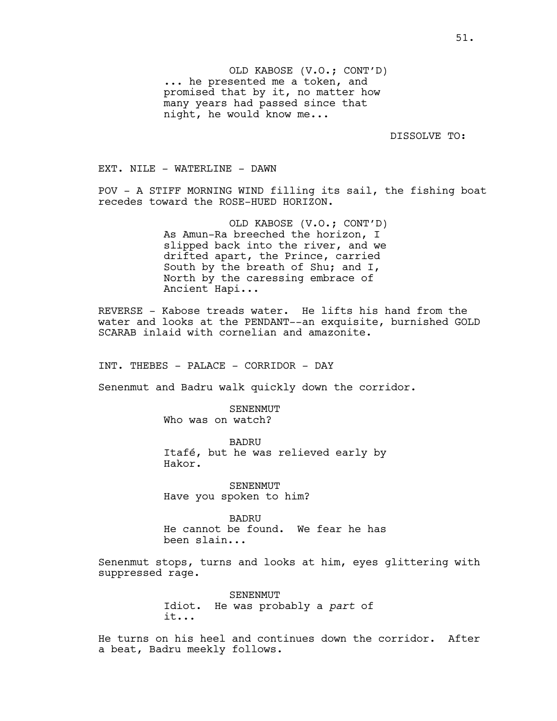DISSOLVE TO:

EXT. NILE - WATERLINE - DAWN

POV - A STIFF MORNING WIND filling its sail, the fishing boat recedes toward the ROSE-HUED HORIZON.

> OLD KABOSE (V.O.; CONT'D) As Amun-Ra breeched the horizon, I slipped back into the river, and we drifted apart, the Prince, carried South by the breath of Shu; and I, North by the caressing embrace of Ancient Hapi...

REVERSE - Kabose treads water. He lifts his hand from the water and looks at the PENDANT--an exquisite, burnished GOLD SCARAB inlaid with cornelian and amazonite.

INT. THEBES - PALACE - CORRIDOR - DAY

Senenmut and Badru walk quickly down the corridor.

SENENMUT Who was on watch?

BADRU Itafé, but he was relieved early by Hakor.

SENENMUT Have you spoken to him?

BADRU He cannot be found. We fear he has been slain...

Senenmut stops, turns and looks at him, eyes glittering with suppressed rage.

> SENENMUT Idiot. He was probably a *part* of it...

He turns on his heel and continues down the corridor. After a beat, Badru meekly follows.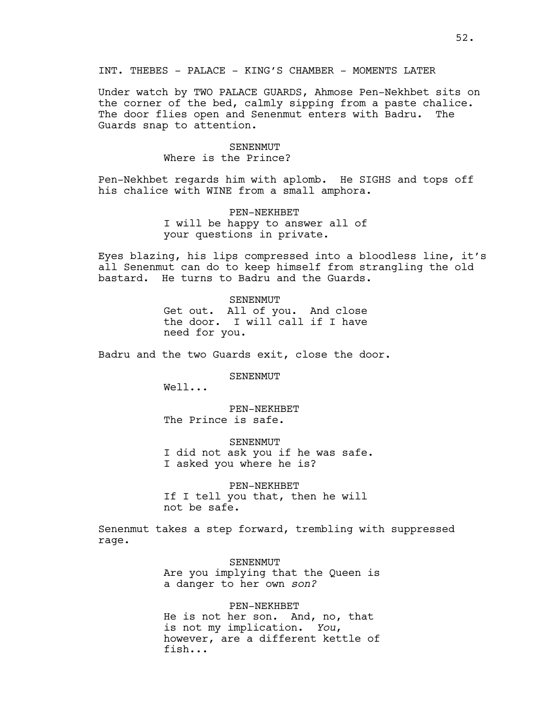INT. THEBES - PALACE - KING'S CHAMBER - MOMENTS LATER

Under watch by TWO PALACE GUARDS, Ahmose Pen-Nekhbet sits on the corner of the bed, calmly sipping from a paste chalice. The door flies open and Senenmut enters with Badru. The Guards snap to attention.

### SENENMUT

# Where is the Prince?

Pen-Nekhbet regards him with aplomb. He SIGHS and tops off his chalice with WINE from a small amphora.

> PEN-NEKHBET I will be happy to answer all of your questions in private.

Eyes blazing, his lips compressed into a bloodless line, it's all Senenmut can do to keep himself from strangling the old bastard. He turns to Badru and the Guards.

### SENENMUT

Get out. All of you. And close the door. I will call if I have need for you.

Badru and the two Guards exit, close the door.

SENENMUT

Well...

PEN-NEKHBET The Prince is safe.

SENENMUT I did not ask you if he was safe. I asked you where he is?

PEN-NEKHBET If I tell you that, then he will not be safe.

Senenmut takes a step forward, trembling with suppressed rage.

> SENENMUT Are you implying that the Queen is a danger to her own *son?*

> PEN-NEKHBET He is not her son. And, no, that is not my implication. *You*, however, are a different kettle of fish...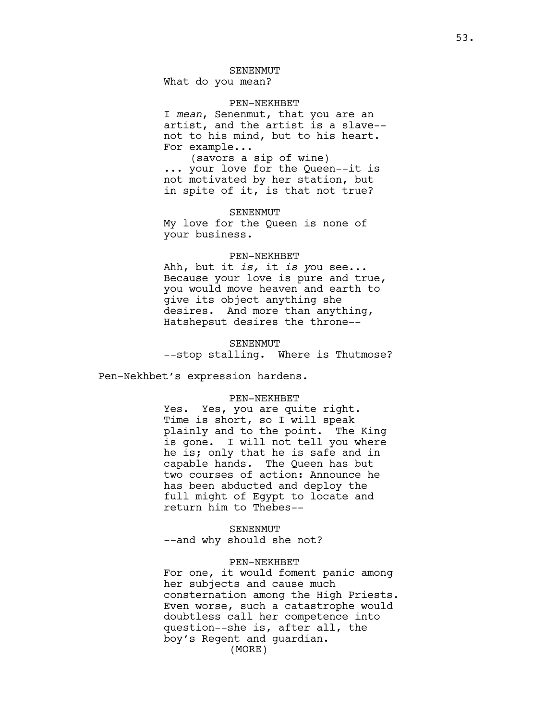What do you mean?

#### PEN-NEKHBET

I *mean*, Senenmut, that you are an artist, and the artist is a slave- not to his mind, but to his heart. For example...

(savors a sip of wine) ... your love for the Queen--it is not motivated by her station, but in spite of it, is that not true?

#### **SENENMUT**

My love for the Queen is none of your business.

### PEN-NEKHBET

Ahh, but it *is,* it *is y*ou see... Because your love is pure and true, you would move heaven and earth to give its object anything she desires. And more than anything, Hatshepsut desires the throne--

SENENMUT

--stop stalling. Where is Thutmose?

Pen-Nekhbet's expression hardens.

#### PEN-NEKHBET

Yes. Yes, you are quite right. Time is short, so I will speak plainly and to the point. The King is gone. I will not tell you where he is; only that he is safe and in capable hands. The Queen has but two courses of action: Announce he has been abducted and deploy the full might of Egypt to locate and return him to Thebes--

### SENENMUT

--and why should she not?

# PEN-NEKHBET

For one, it would foment panic among her subjects and cause much consternation among the High Priests. Even worse, such a catastrophe would doubtless call her competence into question--she is, after all, the boy's Regent and guardian. (MORE)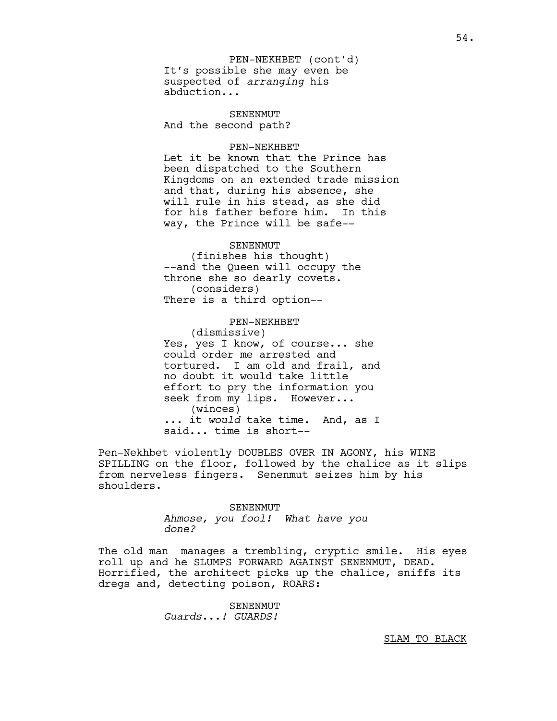It's possible she may even be suspected of *arranging* his abduction... PEN-NEKHBET (cont'd)

SENENMUT And the second path?

### PEN-NEKHBET

Let it be known that the Prince has been dispatched to the Southern Kingdoms on an extended trade mission and that, during his absence, she will rule in his stead, as she did for his father before him. In this way, the Prince will be safe--

# SENENMUT (finishes his thought) --and the Queen will occupy the throne she so dearly covets. (considers) There is a third option--

### PEN-NEKHBET

(dismissive) Yes, yes I know, of course... she could order me arrested and tortured. I am old and frail, and no doubt it would take little effort to pry the information you seek from my lips. However... (winces) ... it *would* take time. And, as I said... time is short--

Pen-Nekhbet violently DOUBLES OVER IN AGONY, his WINE SPILLING on the floor, followed by the chalice as it slips from nerveless fingers. Senenmut seizes him by his shoulders.

> SENENMUT *Ahmose, you fool! What have you done?*

The old man manages a trembling, cryptic smile. His eyes roll up and he SLUMPS FORWARD AGAINST SENENMUT, DEAD. Horrified, the architect picks up the chalice, sniffs its dregs and, detecting poison, ROARS:

> SENENMUT *Guards*...*! GUARDS!*

> > SLAM TO BLACK